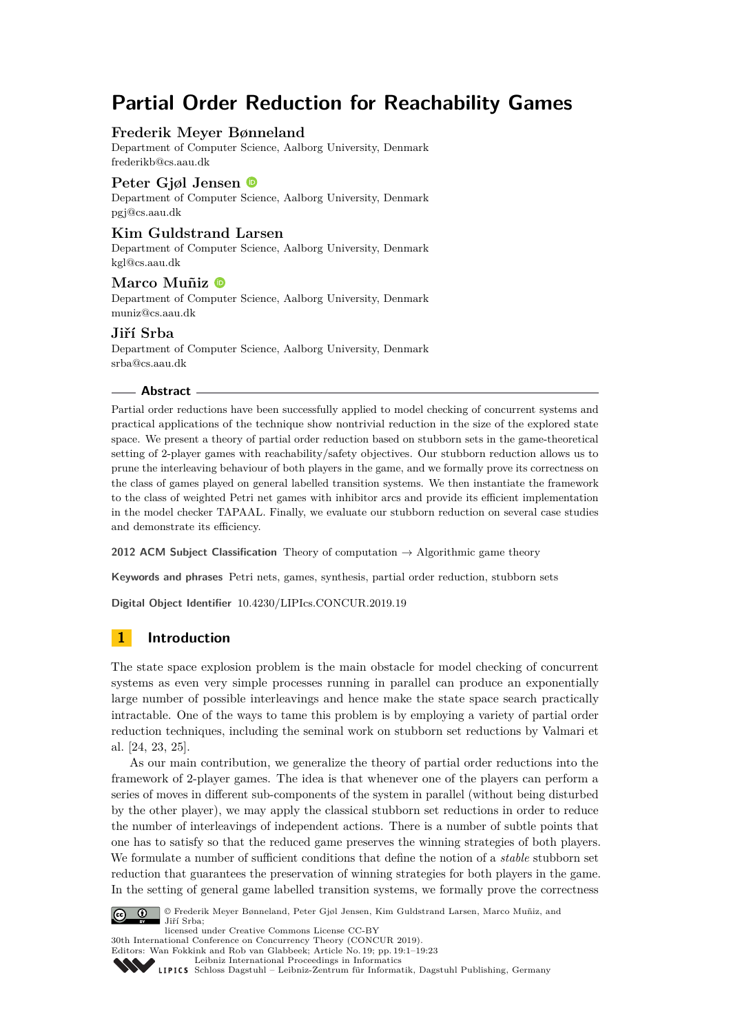# **Partial Order Reduction for Reachability Games**

# **Frederik Meyer Bønneland**

Department of Computer Science, Aalborg University, Denmark [frederikb@cs.aau.dk](mailto:frederikb@cs.aau.dk)

# **Peter Gjøl Jensen**

Department of Computer Science, Aalborg University, Denmark [pgj@cs.aau.dk](mailto:pgj@cs.aau.dk)

### **Kim Guldstrand Larsen**

Department of Computer Science, Aalborg University, Denmark [kgl@cs.aau.dk](mailto:kgl@cs.aau.dk)

### **Marco Muñiz**

Department of Computer Science, Aalborg University, Denmark [muniz@cs.aau.dk](mailto:muniz@cs.aau.dk)

### **Jiří Srba**

Department of Computer Science, Aalborg University, Denmark [srba@cs.aau.dk](mailto:srba@cs.aau.dk)

### **Abstract**

Partial order reductions have been successfully applied to model checking of concurrent systems and practical applications of the technique show nontrivial reduction in the size of the explored state space. We present a theory of partial order reduction based on stubborn sets in the game-theoretical setting of 2-player games with reachability/safety objectives. Our stubborn reduction allows us to prune the interleaving behaviour of both players in the game, and we formally prove its correctness on the class of games played on general labelled transition systems. We then instantiate the framework to the class of weighted Petri net games with inhibitor arcs and provide its efficient implementation in the model checker TAPAAL. Finally, we evaluate our stubborn reduction on several case studies and demonstrate its efficiency.

**2012 ACM Subject Classification** Theory of computation → Algorithmic game theory

**Keywords and phrases** Petri nets, games, synthesis, partial order reduction, stubborn sets

**Digital Object Identifier** [10.4230/LIPIcs.CONCUR.2019.19](https://doi.org/10.4230/LIPIcs.CONCUR.2019.19)

# **1 Introduction**

The state space explosion problem is the main obstacle for model checking of concurrent systems as even very simple processes running in parallel can produce an exponentially large number of possible interleavings and hence make the state space search practically intractable. One of the ways to tame this problem is by employing a variety of partial order reduction techniques, including the seminal work on stubborn set reductions by Valmari et al. [\[24,](#page-14-0) [23,](#page-14-1) [25\]](#page-14-2).

As our main contribution, we generalize the theory of partial order reductions into the framework of 2-player games. The idea is that whenever one of the players can perform a series of moves in different sub-components of the system in parallel (without being disturbed by the other player), we may apply the classical stubborn set reductions in order to reduce the number of interleavings of independent actions. There is a number of subtle points that one has to satisfy so that the reduced game preserves the winning strategies of both players. We formulate a number of sufficient conditions that define the notion of a *stable* stubborn set reduction that guarantees the preservation of winning strategies for both players in the game. In the setting of general game labelled transition systems, we formally prove the correctness



© Frederik Meyer Bønneland, Peter Gjøl Jensen, Kim Guldstrand Larsen, Marco Muñiz, and Jiří Srba;

licensed under Creative Commons License CC-BY 30th International Conference on Concurrency Theory (CONCUR 2019). Editors: Wan Fokkink and Rob van Glabbeek; Article No. 19; pp. 19:1–19[:23](#page-22-0)

[Leibniz International Proceedings in Informatics](https://www.dagstuhl.de/lipics/)

[Schloss Dagstuhl – Leibniz-Zentrum für Informatik, Dagstuhl Publishing, Germany](https://www.dagstuhl.de)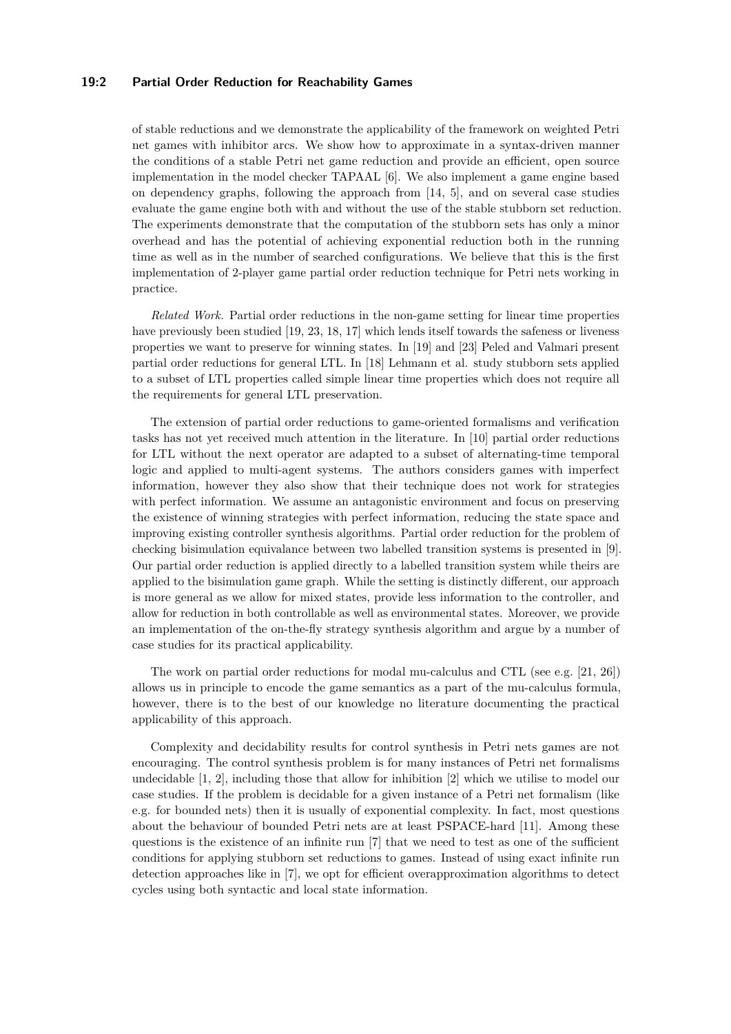### **19:2 Partial Order Reduction for Reachability Games**

of stable reductions and we demonstrate the applicability of the framework on weighted Petri net games with inhibitor arcs. We show how to approximate in a syntax-driven manner the conditions of a stable Petri net game reduction and provide an efficient, open source implementation in the model checker TAPAAL [\[6\]](#page-13-0). We also implement a game engine based on dependency graphs, following the approach from [\[14,](#page-14-3) [5\]](#page-13-1), and on several case studies evaluate the game engine both with and without the use of the stable stubborn set reduction. The experiments demonstrate that the computation of the stubborn sets has only a minor overhead and has the potential of achieving exponential reduction both in the running time as well as in the number of searched configurations. We believe that this is the first implementation of 2-player game partial order reduction technique for Petri nets working in practice.

*Related Work.* Partial order reductions in the non-game setting for linear time properties have previously been studied [\[19,](#page-14-4) [23,](#page-14-1) [18,](#page-14-5) [17\]](#page-14-6) which lends itself towards the safeness or liveness properties we want to preserve for winning states. In [\[19\]](#page-14-4) and [\[23\]](#page-14-1) Peled and Valmari present partial order reductions for general LTL. In [\[18\]](#page-14-5) Lehmann et al. study stubborn sets applied to a subset of LTL properties called simple linear time properties which does not require all the requirements for general LTL preservation.

The extension of partial order reductions to game-oriented formalisms and verification tasks has not yet received much attention in the literature. In [\[10\]](#page-13-2) partial order reductions for LTL without the next operator are adapted to a subset of alternating-time temporal logic and applied to multi-agent systems. The authors considers games with imperfect information, however they also show that their technique does not work for strategies with perfect information. We assume an antagonistic environment and focus on preserving the existence of winning strategies with perfect information, reducing the state space and improving existing controller synthesis algorithms. Partial order reduction for the problem of checking bisimulation equivalance between two labelled transition systems is presented in [\[9\]](#page-13-3). Our partial order reduction is applied directly to a labelled transition system while theirs are applied to the bisimulation game graph. While the setting is distinctly different, our approach is more general as we allow for mixed states, provide less information to the controller, and allow for reduction in both controllable as well as environmental states. Moreover, we provide an implementation of the on-the-fly strategy synthesis algorithm and argue by a number of case studies for its practical applicability.

The work on partial order reductions for modal mu-calculus and CTL (see e.g. [\[21,](#page-14-7) [26\]](#page-14-8)) allows us in principle to encode the game semantics as a part of the mu-calculus formula, however, there is to the best of our knowledge no literature documenting the practical applicability of this approach.

Complexity and decidability results for control synthesis in Petri nets games are not encouraging. The control synthesis problem is for many instances of Petri net formalisms undecidable [\[1,](#page-13-4) [2\]](#page-13-5), including those that allow for inhibition [\[2\]](#page-13-5) which we utilise to model our case studies. If the problem is decidable for a given instance of a Petri net formalism (like e.g. for bounded nets) then it is usually of exponential complexity. In fact, most questions about the behaviour of bounded Petri nets are at least PSPACE-hard [\[11\]](#page-14-9). Among these questions is the existence of an infinite run [\[7\]](#page-13-6) that we need to test as one of the sufficient conditions for applying stubborn set reductions to games. Instead of using exact infinite run detection approaches like in [\[7\]](#page-13-6), we opt for efficient overapproximation algorithms to detect cycles using both syntactic and local state information.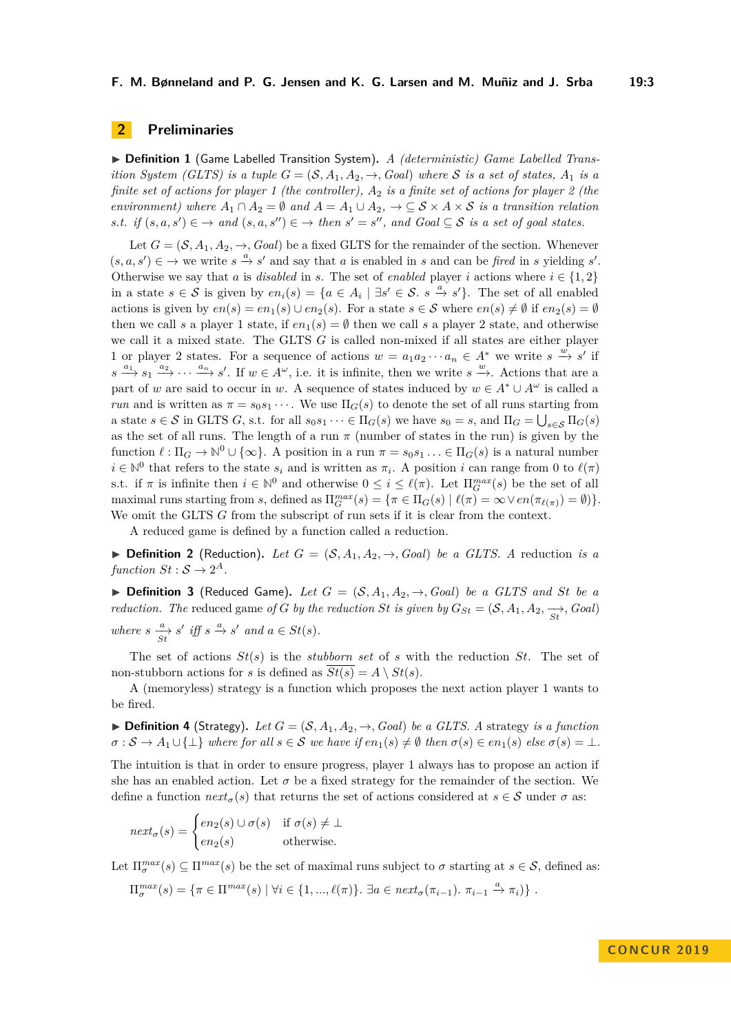### **F. M. Bønneland and P. G. Jensen and K. G. Larsen and M. Muñiz and J. Srba 19:3**

# **2 Preliminaries**

▶ **Definition 1** (Game Labelled Transition System). *A (deterministic) Game Labelled Transition System (GLTS) is a tuple*  $G = (S, A_1, A_2, \rightarrow, Goal)$  *where* S *is a set of states,*  $A_1$  *is a finite set of actions for player 1 (the controller), A*<sup>2</sup> *is a finite set of actions for player 2 (the environment) where*  $A_1 \cap A_2 = \emptyset$  *and*  $A = A_1 \cup A_2$ ,  $\rightarrow \subseteq \mathcal{S} \times A \times \mathcal{S}$  *is a transition relation s.t.* if  $(s, a, s') \in \rightarrow$  and  $(s, a, s'') \in \rightarrow$  then  $s' = s''$ , and  $Goal \subseteq S$  is a set of goal states.

Let  $G = (\mathcal{S}, A_1, A_2, \rightarrow, Goal)$  be a fixed GLTS for the remainder of the section. Whenever  $(s, a, s') \in \mathcal{A}$  we write  $s \stackrel{a}{\to} s'$  and say that *a* is enabled in *s* and can be *fired* in *s* yielding *s'*. Otherwise we say that *a* is *disabled* in *s*. The set of *enabled* player *i* actions where  $i \in \{1, 2\}$ in a state  $s \in S$  is given by  $en_i(s) = \{a \in A_i \mid \exists s' \in S$ .  $s \stackrel{a}{\rightarrow} s'\}$ . The set of all enabled actions is given by  $en(s) = en_1(s) \cup en_2(s)$ . For a state  $s \in S$  where  $en(s) \neq \emptyset$  if  $en_2(s) = \emptyset$ then we call *s* a player 1 state, if  $en_1(s) = \emptyset$  then we call *s* a player 2 state, and otherwise we call it a mixed state. The GLTS *G* is called non-mixed if all states are either player 1 or player 2 states. For a sequence of actions  $w = a_1 a_2 \cdots a_n \in A^*$  we write  $s \stackrel{w}{\to} s'$  if  $s \stackrel{a_1}{\longrightarrow} s_1 \stackrel{a_2}{\longrightarrow} \cdots \stackrel{a_n}{\longrightarrow} s'$ . If  $w \in A^\omega$ , i.e. it is infinite, then we write  $s \stackrel{w}{\longrightarrow}$ . Actions that are a part of *w* are said to occur in *w*. A sequence of states induced by  $w \in A^* \cup A^{\omega}$  is called a *run* and is written as  $\pi = s_0 s_1 \cdots$ . We use  $\Pi_G(s)$  to denote the set of all runs starting from a state  $s \in S$  in GLTS *G*, s.t. for all  $s_0 s_1 \cdots \in \Pi_G(s)$  we have  $s_0 = s$ , and  $\Pi_G = \bigcup_{s \in S} \Pi_G(s)$ as the set of all runs. The length of a run  $\pi$  (number of states in the run) is given by the function  $\ell : \Pi_G \to \mathbb{N}^0 \cup \{\infty\}$ . A position in a run  $\pi = s_0 s_1 \ldots \in \Pi_G(s)$  is a natural number  $i \in \mathbb{N}^0$  that refers to the state  $s_i$  and is written as  $\pi_i$ . A position *i* can range from 0 to  $\ell(\pi)$ s.t. if  $\pi$  is infinite then  $i \in \mathbb{N}^0$  and otherwise  $0 \leq i \leq \ell(\pi)$ . Let  $\Pi_G^{max}(s)$  be the set of all maximal runs starting from *s*, defined as  $\Pi_G^{max}(s) = {\pi \in \Pi_G(s) | \ell(\pi) = \infty \vee en(\pi_{\ell(\pi)}) = \emptyset}$ . We omit the GLTS *G* from the subscript of run sets if it is clear from the context.

A reduced game is defined by a function called a reduction.

▶ **Definition 2** (Reduction). Let  $G = (S, A_1, A_2, \rightarrow, Goal)$  be a GLTS. A reduction is a  $function\ St:\mathcal{S}\rightarrow 2^A.$ 

 $\triangleright$  **Definition 3** (Reduced Game). Let  $G = (S, A_1, A_2, \rightarrow, Goal)$  be a GLTS and St be a *reduction. The* reduced game *of G by the reduction St is given by*  $G_{St} = (\mathcal{S}, A_1, A_2, \frac{\rightarrow}{st}, Goal)$ *where*  $s \xrightarrow[s]{a} s'$  *iff*  $s \xrightarrow{a} s'$  *and*  $a \in St(s)$ *.* 

The set of actions *St*(*s*) is the *stubborn set* of *s* with the reduction *St*. The set of non-stubborn actions for *s* is defined as  $St(s) = A \setminus St(s)$ .

A (memoryless) strategy is a function which proposes the next action player 1 wants to be fired.

 $\triangleright$  **Definition 4** (Strategy). Let  $G = (S, A_1, A_2, \rightarrow, Goal)$  be a GLTS. A strategy is a function  $\sigma : \mathcal{S} \to A_1 \cup \{\perp\}$  where for all  $s \in \mathcal{S}$  we have if  $en_1(s) \neq \emptyset$  then  $\sigma(s) \in en_1(s)$  else  $\sigma(s) = \perp$ .

The intuition is that in order to ensure progress, player 1 always has to propose an action if she has an enabled action. Let  $\sigma$  be a fixed strategy for the remainder of the section. We define a function  $next_{\sigma}(s)$  that returns the set of actions considered at  $s \in S$  under  $\sigma$  as:

$$
next_{\sigma}(s) = \begin{cases} en_2(s) \cup \sigma(s) & \text{if } \sigma(s) \neq \bot \\ en_2(s) & \text{otherwise.} \end{cases}
$$

Let  $\Pi_{\sigma}^{max}(s) \subseteq \Pi^{max}(s)$  be the set of maximal runs subject to  $\sigma$  starting at  $s \in \mathcal{S}$ , defined as:

$$
\Pi_{\sigma}^{max}(s) = \{ \pi \in \Pi^{max}(s) \mid \forall i \in \{1, ..., \ell(\pi)\}. \exists a \in next_{\sigma}(\pi_{i-1}). \ \pi_{i-1} \stackrel{a}{\rightarrow} \pi_{i}) \} .
$$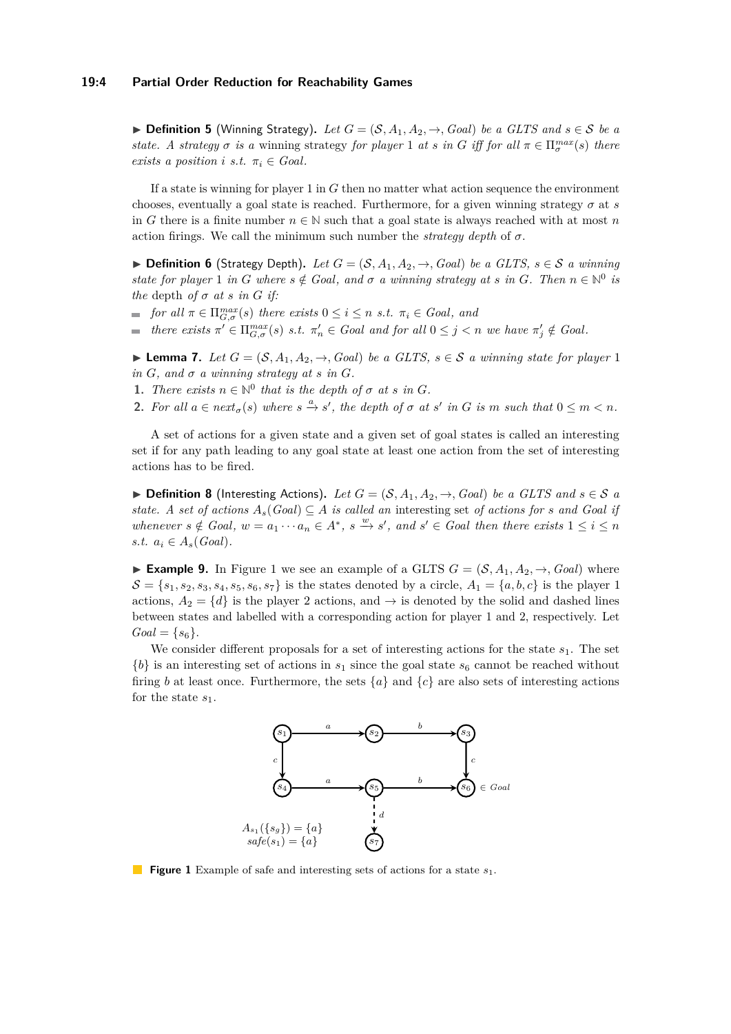### **19:4 Partial Order Reduction for Reachability Games**

▶ **Definition 5** (Winning Strategy). Let  $G = (S, A_1, A_2, \rightarrow, Goal)$  be a GLTS and  $s \in S$  be a *state.* A strategy  $\sigma$  *is a* winning strategy *for player* 1 *at s in G iff for all*  $\pi \in \Pi_{\sigma}^{max}(s)$  *there exists a position i s.t.*  $\pi_i \in \text{Goal}$ .

If a state is winning for player 1 in *G* then no matter what action sequence the environment chooses, eventually a goal state is reached. Furthermore, for a given winning strategy  $\sigma$  at  $s$ in *G* there is a finite number  $n \in \mathbb{N}$  such that a goal state is always reached with at most *n* action firings. We call the minimum such number the *strategy depth* of  $\sigma$ .

▶ **Definition 6** (Strategy Depth). Let  $G = (S, A_1, A_2, \rightarrow, Goal)$  be a GLTS,  $s \in S$  a winning *state for player* 1 *in G* where  $s \notin$  *Goal, and*  $\sigma$  *a winning strategy at s in G.* Then  $n \in \mathbb{N}^0$  *is the* depth *of*  $\sigma$  *at*  $s$  *in*  $G$  *if:* 

- *for all*  $\pi \in \Pi_{G,\sigma}^{max}(s)$  *there exists*  $0 \leq i \leq n$  *s.t.*  $\pi_i \in \text{Goal}$ *, and*
- *there exists*  $\pi' \in \Pi_{G,\sigma}^{max}(s)$  *s.t.*  $\pi'_n \in \text{Goal}$  and for all  $0 \leq j \leq n$  we have  $\pi'_j \notin \text{Goal}$ .

<span id="page-3-2"></span>▶ **Lemma 7.** *Let*  $G = (S, A_1, A_2, \rightarrow, Goal)$  *be a GLTS, s* ∈ S *a winning state for player* 1  $in G$ *, and*  $\sigma$  *a winning strategy at s in*  $G$ *.* 

- <span id="page-3-3"></span>**1.** *There exists*  $n \in \mathbb{N}^0$  *that is the depth of*  $\sigma$  *at s in G.*
- <span id="page-3-4"></span>**2.** For all  $a \in next_{\sigma}(s)$  where  $s \stackrel{a}{\rightarrow} s'$ , the depth of  $\sigma$  at  $s'$  in  $G$  is  $m$  such that  $0 \leq m < n$ .

A set of actions for a given state and a given set of goal states is called an interesting set if for any path leading to any goal state at least one action from the set of interesting actions has to be fired.

▶ **Definition 8** (Interesting Actions). Let  $G = (S, A_1, A_2, \rightarrow, Goal)$  be a GLTS and  $s \in S$  a *state.* A set of actions  $A_s(Goa) \subseteq A$  *is called an* interesting set of actions for *s* and Goal *if whenever*  $s \notin$  *Goal,*  $w = a_1 \cdots a_n \in A^*$ ,  $s \xrightarrow{w} s'$ , and  $s' \in$  *Goal then there exists*  $1 \leq i \leq n$ *s.t.*  $a_i \in A_s(Goal)$ .

<span id="page-3-1"></span>▶ **Example 9.** In Figure [1](#page-3-0) we see an example of a GLTS  $G = (\mathcal{S}, A_1, A_2, \rightarrow, Goal)$  where  $S = \{s_1, s_2, s_3, s_4, s_5, s_6, s_7\}$  is the states denoted by a circle,  $A_1 = \{a, b, c\}$  is the player 1 actions,  $A_2 = \{d\}$  is the player 2 actions, and  $\rightarrow$  is denoted by the solid and dashed lines between states and labelled with a corresponding action for player 1 and 2, respectively. Let  $Goal = \{s_6\}.$ 

<span id="page-3-0"></span>We consider different proposals for a set of interesting actions for the state  $s_1$ . The set  ${b}$  is an interesting set of actions in  $s_1$  since the goal state  $s_6$  cannot be reached without firing *b* at least once. Furthermore, the sets  $\{a\}$  and  $\{c\}$  are also sets of interesting actions for the state *s*1.



**Figure 1** Example of safe and interesting sets of actions for a state *s*1.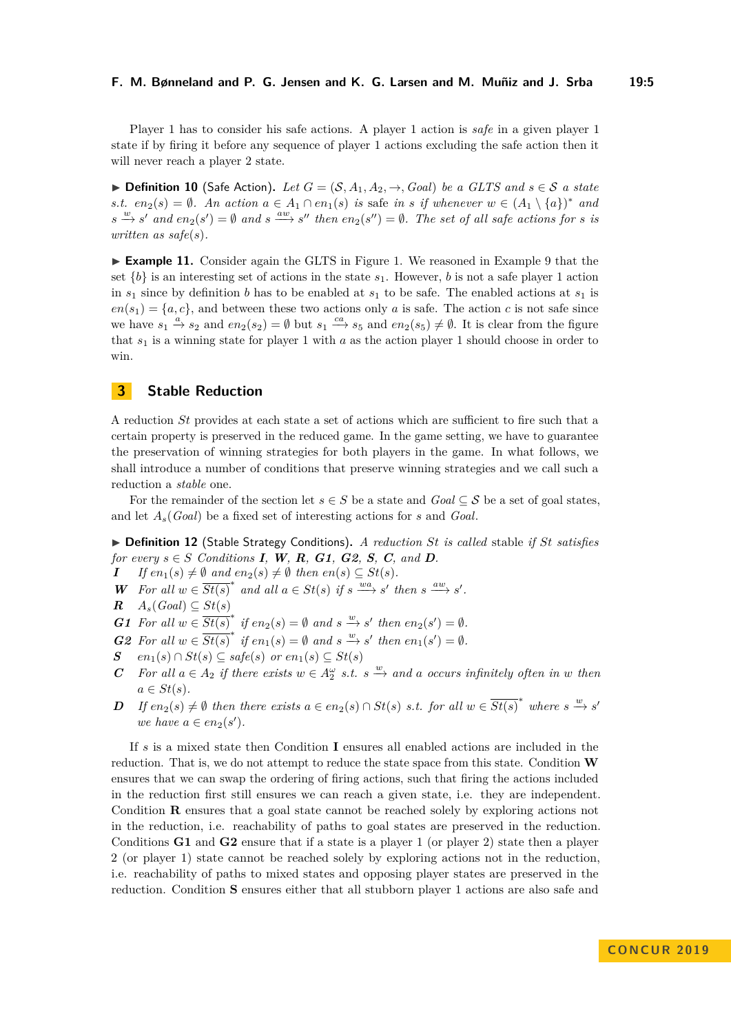Player 1 has to consider his safe actions. A player 1 action is *safe* in a given player 1 state if by firing it before any sequence of player 1 actions excluding the safe action then it will never reach a player 2 state.

▶ **Definition 10** (Safe Action). Let  $G = (S, A_1, A_2, \rightarrow, Goal)$  be a GLTS and  $s \in S$  a state *s.t.*  $en_2(s) = ∅$ *. An action*  $a ∈ A_1 ∩ en_1(s)$  *is* safe *in s if* whenever  $w ∈ (A_1 \setminus {a})^*$  *and*  $s \xrightarrow{w} s'$  and  $en_2(s') = \emptyset$  and  $s \xrightarrow{aw} s''$  then  $en_2(s'') = \emptyset$ . The set of all safe actions for *s* is *written as safe*(*s*)*.*

► **Example 11.** Consider again the GLTS in Figure [1.](#page-3-0) We reasoned in Example [9](#page-3-1) that the set  ${b}$  is an interesting set of actions in the state  $s_1$ . However, *b* is not a safe player 1 action in  $s_1$  since by definition *b* has to be enabled at  $s_1$  to be safe. The enabled actions at  $s_1$  is  $en(s_1) = \{a, c\}$ , and between these two actions only *a* is safe. The action *c* is not safe since we have  $s_1 \stackrel{a}{\rightarrow} s_2$  and  $en_2(s_2) = \emptyset$  but  $s_1 \stackrel{ca}{\rightarrow} s_5$  and  $en_2(s_5) \neq \emptyset$ . It is clear from the figure that *s*<sup>1</sup> is a winning state for player 1 with *a* as the action player 1 should choose in order to win.

# **3 Stable Reduction**

A reduction *St* provides at each state a set of actions which are sufficient to fire such that a certain property is preserved in the reduced game. In the game setting, we have to guarantee the preservation of winning strategies for both players in the game. In what follows, we shall introduce a number of conditions that preserve winning strategies and we call such a reduction a *stable* one.

For the remainder of the section let  $s \in S$  be a state and  $Goal \subseteq S$  be a set of goal states, and let *As*(*Goal*) be a fixed set of interesting actions for *s* and *Goal*.

<span id="page-4-0"></span>I **Definition 12** (Stable Strategy Conditions)**.** *A reduction St is called* stable *if St satisfies for every*  $s \in S$  $s \in S$  *[C](#page-4-0)onditions* **[I](#page-4-0)**, **[W](#page-4-0)**, **[R](#page-4-0)**, **[G1](#page-4-0)**, **[G2](#page-4-0)**, **S**, **C**, and **[D](#page-4-0)**.

- *I If*  $en_1(s) \neq \emptyset$  *and*  $en_2(s) \neq \emptyset$  *then*  $en(s) \subseteq St(s)$ *.*
- *W For all*  $w \in \overline{St(s)}^*$  *and all*  $a \in St(s)$  *if*  $s \xrightarrow{wa} s'$  *then*  $s \xrightarrow{aw} s'$ .
- *R A*<sub>*s*</sub>(*Goal*) ⊆ *St*(*s*)

*G1* For all  $w \in \overline{St(s)}^*$  if  $en_2(s) = \emptyset$  and  $s \xrightarrow{w} s'$  then  $en_2(s') = \emptyset$ .

- *G2* For all  $w \in \overline{St(s)}^*$  if  $en_1(s) = \emptyset$  and  $s \xrightarrow{w} s'$  then  $en_1(s') = \emptyset$ .
- *S en*<sub>1</sub>(*s*) ∩ *St*(*s*) ⊆ *safe*(*s*) *or en*<sub>1</sub>(*s*) ⊆ *St*(*s*)
- *C* For all  $a \in A_2$  if there exists  $w \in A_2^{\omega}$  *s.t.*  $s \stackrel{w}{\to}$  and  $a$  occurs infinitely often in  $w$  then  $a \in St(s)$ .
- *D If*  $en_2(s) \neq \emptyset$  *then there exists*  $a \in en_2(s) \cap St(s)$  *s.t. for all*  $w \in \overline{St(s)}^*$  *where*  $s \stackrel{w}{\to} s'$ *we have*  $a \in en_2(s')$ *.*

If *s* is a mixed state then Condition **[I](#page-4-0)** ensures all enabled actions are included in the reduction. That is, we do not attempt to reduce the state space from this state. Condition **[W](#page-4-0)** ensures that we can swap the ordering of firing actions, such that firing the actions included in the reduction first still ensures we can reach a given state, i.e. they are independent. Condition **[R](#page-4-0)** ensures that a goal state cannot be reached solely by exploring actions not in the reduction, i.e. reachability of paths to goal states are preserved in the reduction. Conditions **[G1](#page-4-0)** and **[G2](#page-4-0)** ensure that if a state is a player 1 (or player 2) state then a player 2 (or player 1) state cannot be reached solely by exploring actions not in the reduction, i.e. reachability of paths to mixed states and opposing player states are preserved in the reduction. Condition **[S](#page-4-0)** ensures either that all stubborn player 1 actions are also safe and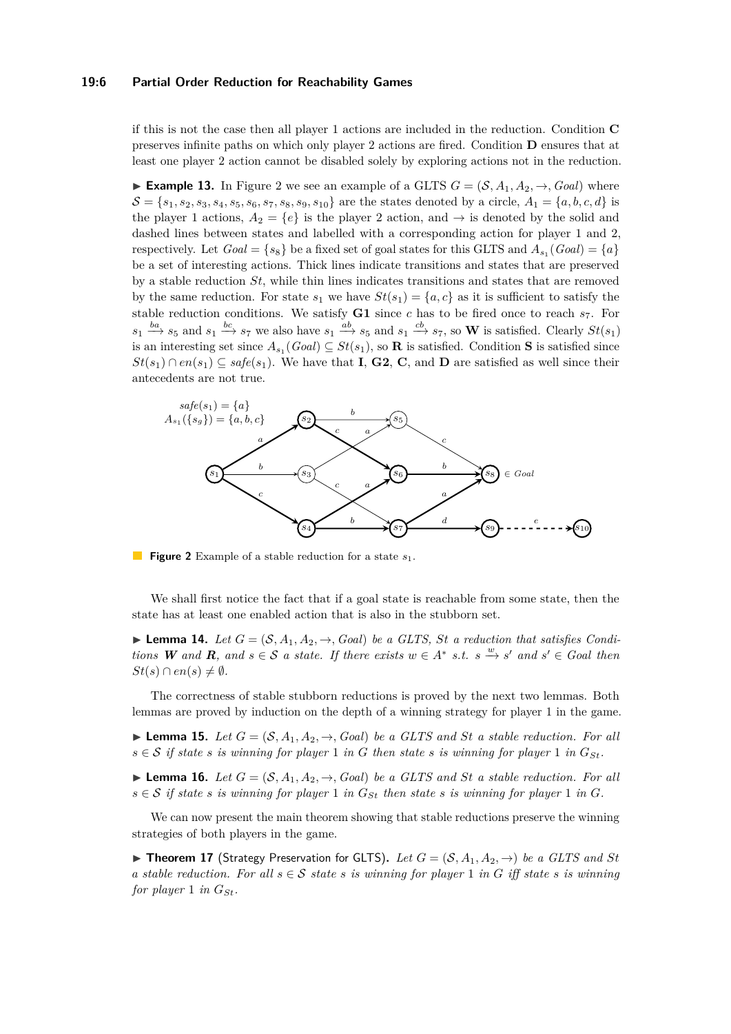### **19:6 Partial Order Reduction for Reachability Games**

if this is not the case then all player 1 actions are included in the reduction. Condition **[C](#page-4-0)** preserves infinite paths on which only player 2 actions are fired. Condition **[D](#page-4-0)** ensures that at least one player 2 action cannot be disabled solely by exploring actions not in the reduction.

**Example 13.** In Figure [2](#page-5-0) we see an example of a GLTS  $G = (\mathcal{S}, A_1, A_2, \rightarrow, Goal)$  where  $\mathcal{S} = \{s_1, s_2, s_3, s_4, s_5, s_6, s_7, s_8, s_9, s_{10}\}\$  are the states denoted by a circle,  $A_1 = \{a, b, c, d\}$  is the player 1 actions,  $A_2 = \{e\}$  is the player 2 action, and  $\rightarrow$  is denoted by the solid and dashed lines between states and labelled with a corresponding action for player 1 and 2, respectively. Let  $Goal = \{s_8\}$  be a fixed set of goal states for this GLTS and  $A_{s_1}(Goal) = \{a\}$ be a set of interesting actions. Thick lines indicate transitions and states that are preserved by a stable reduction *St*, while thin lines indicates transitions and states that are removed by the same reduction. For state  $s_1$  we have  $St(s_1) = \{a, c\}$  as it is sufficient to satisfy the stable reduction conditions. We satisfy  $G1$  since *c* has to be fired once to reach  $s_7$ . For  $s_1 \xrightarrow{ba} s_5$  and  $s_1 \xrightarrow{bc} s_7$  we also have  $s_1 \xrightarrow{ab} s_5$  and  $s_1 \xrightarrow{cb} s_7$ , so **[W](#page-4-0)** is satisfied. Clearly  $St(s_1)$ is an interesting set since  $A_{s_1}(Goal) \subseteq St(s_1)$  $A_{s_1}(Goal) \subseteq St(s_1)$  $A_{s_1}(Goal) \subseteq St(s_1)$ , so **[R](#page-4-0)** is satisfied. Condition **S** is satisfied since  $St(s_1) \cap en(s_1) \subseteq safe(s_1)$ . We have that **[I](#page-4-0)**, **[G2](#page-4-0)**, **[C](#page-4-0)**, and **[D](#page-4-0)** are satisfied as well since their antecedents are not true.

<span id="page-5-0"></span>

**Figure 2** Example of a stable reduction for a state *s*1.

We shall first notice the fact that if a goal state is reachable from some state, then the state has at least one enabled action that is also in the stubborn set.

<span id="page-5-1"></span> $\blacktriangleright$  **Lemma 14.** Let  $G = (\mathcal{S}, A_1, A_2, \rightarrow, Goal)$  be a GLTS, St a reduction that satisfies Condi*tions [W](#page-4-0)* and **[R](#page-4-0)**, and  $s \in S$  *a state. If there exists*  $w \in A^*$  *s.t.*  $s \stackrel{w}{\to} s'$  *and*  $s' \in$  *Goal then*  $St(s) \cap en(s) \neq \emptyset$ .

The correctness of stable stubborn reductions is proved by the next two lemmas. Both lemmas are proved by induction on the depth of a winning strategy for player 1 in the game.

<span id="page-5-2"></span> $\blacktriangleright$  **Lemma 15.** Let  $G = (S, A_1, A_2, \rightarrow, Goal)$  be a GLTS and St a stable reduction. For all  $s \in S$  *if state s is winning for player* 1 *in G then state s is winning for player* 1 *in*  $G_{St}$ .

<span id="page-5-3"></span> $\blacktriangleright$  **Lemma 16.** Let  $G = (\mathcal{S}, A_1, A_2, \rightarrow, Goal)$  be a GLTS and St a stable reduction. For all  $s \in S$  *if state s is winning for player* 1 *in*  $G_{St}$  *then state s is winning for player* 1 *in G*.

We can now present the main theorem showing that stable reductions preserve the winning strategies of both players in the game.

<span id="page-5-4"></span>▶ **Theorem 17** (Strategy Preservation for GLTS). Let  $G = (S, A_1, A_2, \rightarrow)$  be a GLTS and St *a stable reduction. For all*  $s \in S$  *state s is winning for player* 1 *in G iff state s is winning for player* 1 *in*  $G_{St}$ *.*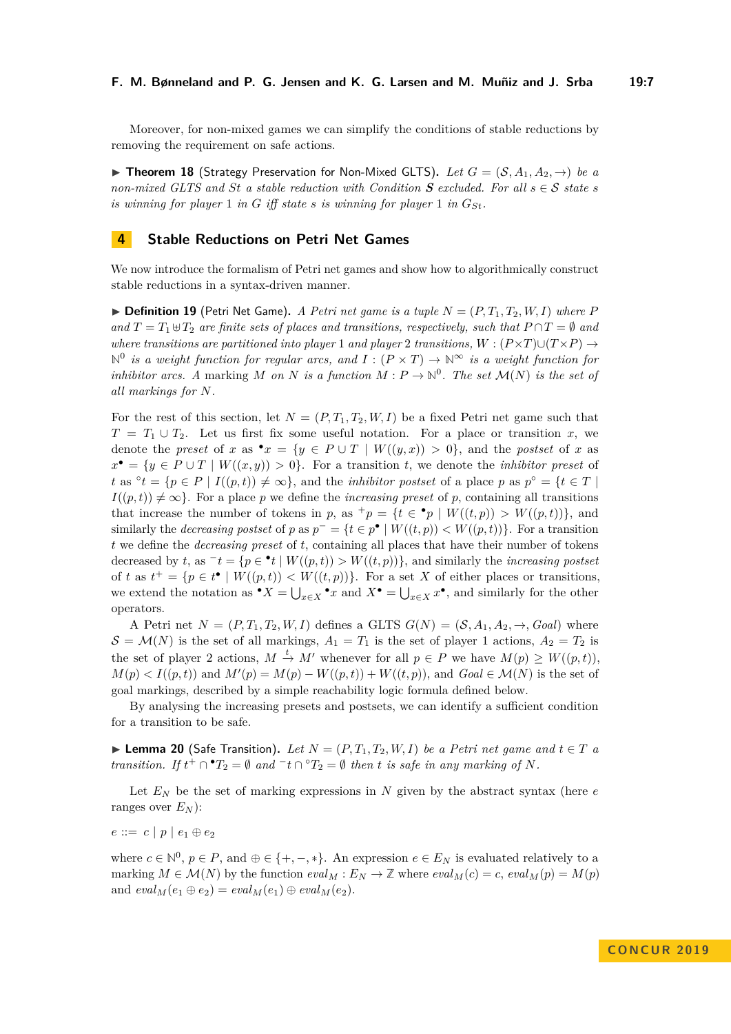Moreover, for non-mixed games we can simplify the conditions of stable reductions by removing the requirement on safe actions.

<span id="page-6-0"></span>▶ **Theorem 18** (Strategy Preservation for Non-Mixed GLTS). Let  $G = (S, A_1, A_2, \rightarrow)$  be a *non-mixed GLT[S](#page-4-0) and St a stable reduction with Condition*  $S$  *excluded. For all*  $s \in S$  *state s is winning for player* 1 *in G iff state s is winning for player* 1 *in*  $G_{St}$ *.* 

# **4 Stable Reductions on Petri Net Games**

We now introduce the formalism of Petri net games and show how to algorithmically construct stable reductions in a syntax-driven manner.

 $\triangleright$  **Definition 19** (Petri Net Game). A Petri net game is a tuple  $N = (P, T_1, T_2, W, I)$  where P *and*  $T = T_1 \oplus T_2$  *are finite sets of places and transitions, respectively, such that*  $P \cap T = \emptyset$  *and where transitions are partitioned into player* 1 *and player* 2 *transitions,*  $W : (P \times T) \cup (T \times P) \rightarrow$  $\mathbb{N}^0$  *is a weight function for regular arcs, and*  $I : (P \times T) \to \mathbb{N}^\infty$  *is a weight function for inhibitor arcs.* A marking M on N is a function  $M: P \to \mathbb{N}^0$ . The set  $\mathcal{M}(N)$  is the set of *all markings for N.*

For the rest of this section, let  $N = (P, T_1, T_2, W, I)$  be a fixed Petri net game such that  $T = T_1 \cup T_2$ . Let us first fix some useful notation. For a place or transition *x*, we denote the *preset* of *x* as  $\bullet x = \{y \in P \cup T \mid W((y, x)) > 0\}$ , and the *postset* of *x* as  $x^{\bullet} = \{y \in P \cup T \mid W((x, y)) > 0\}.$  For a transition *t*, we denote the *inhibitor preset* of  $t$  as  $\circ t = \{p \in P \mid I((p, t)) \neq \infty\}$ , and the *inhibitor postset* of a place *p* as  $p^{\circ} = \{t \in T \mid I((p, t)) \neq \infty\}$  $I((p, t)) \neq \infty$ . For a place *p* we define the *increasing preset* of *p*, containing all transitions that increase the number of tokens in *p*, as  $^+p = \{t \in \bullet p \mid W((t,p)) > W((p,t))\}$ , and similarly the *decreasing postset* of *p* as  $p^- = \{t \in p^{\bullet} \mid W((t, p)) < W((p, t))\}$ . For a transition *t* we define the *decreasing preset* of *t*, containing all places that have their number of tokens decreased by *t*, as  $\overline{t} = \{p \in \mathbf{P} | W((p, t)) > W((t, p))\}$ , and similarly the *increasing postset* of *t* as  $t^+ = \{p \in t^{\bullet} \mid W((p,t)) < W((t,p))\}$ . For a set *X* of either places or transitions, we extend the notation as  $\bullet X = \bigcup_{x \in X} \bullet x$  and  $X \bullet = \bigcup_{x \in X} x \bullet$ , and similarly for the other operators.

A Petri net  $N = (P, T_1, T_2, W, I)$  defines a GLTS  $G(N) = (\mathcal{S}, A_1, A_2, \rightarrow, Goal)$  where  $S = M(N)$  is the set of all markings,  $A_1 = T_1$  is the set of player 1 actions,  $A_2 = T_2$  is the set of player 2 actions,  $M \stackrel{t}{\rightarrow} M'$  whenever for all  $p \in P$  we have  $M(p) \geq W((p, t)),$  $M(p) < I((p, t))$  and  $M'(p) = M(p) - W((p, t)) + W((t, p))$ , and  $Goal \in \mathcal{M}(N)$  is the set of goal markings, described by a simple reachability logic formula defined below.

By analysing the increasing presets and postsets, we can identify a sufficient condition for a transition to be safe.

<span id="page-6-1"></span>▶ **Lemma 20** (Safe Transition). Let  $N = (P, T_1, T_2, W, I)$  be a Petri net game and  $t \in T$  a *transition.* If  $t^{\perp} \cap {}^{\bullet}T_2 = \emptyset$  *and*  ${}^{\neg}t \cap {}^{\circ}T_2 = \emptyset$  *then t is safe in any marking of N.* 

Let  $E_N$  be the set of marking expressions in N given by the abstract syntax (here  $e$ ranges over  $E_N$ ):

$$
e ::= c | p | e_1 \oplus e_2
$$

where  $c \in \mathbb{N}^0$ ,  $p \in P$ , and  $\oplus \in \{+, -, *\}$ . An expression  $e \in E_N$  is evaluated relatively to a marking  $M \in \mathcal{M}(N)$  by the function  $eval_M : E_N \to \mathbb{Z}$  where  $eval_M(c) = c$ ,  $eval_M(p) = M(p)$ and  $eval_M(e_1 \oplus e_2) = eval_M(e_1) \oplus eval_M(e_2).$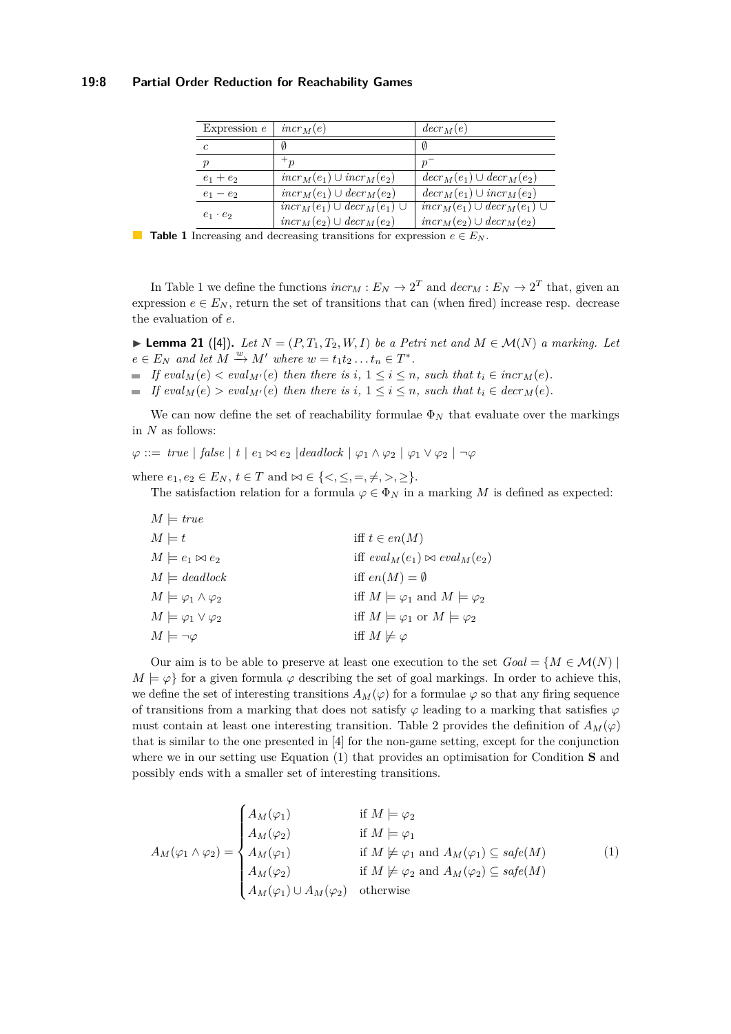<span id="page-7-0"></span>

| Expression $e$   | $incr_M(e)$                                    | $decr_M(e)$                                    |
|------------------|------------------------------------------------|------------------------------------------------|
| $\mathfrak c$    | Ø                                              | Ø                                              |
| $\boldsymbol{p}$ | ${}^{\mathrm{+}} n$                            | $\boldsymbol{p}$                               |
| $e_1 + e_2$      | $incr_M(e_1) \cup incr_M(e_2)$                 | $decr_M(e_1) \cup decr_M(e_2)$                 |
| $e_1 - e_2$      | $incr_M(e_1) \cup decr_M(e_2)$                 | $decr_M(e_1) \cup incr_M(e_2)$                 |
| $e_1 \cdot e_2$  | $\overline{incr_M(e_1) \cup decr_M(e_1) \cup}$ | $\overline{incr_M(e_1) \cup decr_M(e_1) \cup}$ |
|                  | $incr_M(e_2) \cup decr_M(e_2)$                 | $incr_M(e_2) \cup decr_M(e_2)$                 |

**Table 1** Increasing and decreasing transitions for expression  $e \in E_N$ .

In Table [1](#page-7-0) we define the functions  $incr_M : E_N \to 2^T$  and  $decr_M : E_N \to 2^T$  that, given an expression  $e \in E_N$ , return the set of transitions that can (when fired) increase resp. decrease the evaluation of *e*.

► **Lemma 21** ([\[4\]](#page-13-7)). Let  $N = (P, T_1, T_2, W, I)$  be a Petri net and  $M \in \mathcal{M}(N)$  a marking. Let  $e \in E_N$  and let  $M \xrightarrow{w} M'$  where  $w = t_1 t_2 \dots t_n \in T^*$ .

- *If*  $eval_M(e) < eval_{M'}(e)$  *then there is i*,  $1 ≤ i ≤ n$ *, such that*  $t_i ∈ incr_M(e)$ *.*
- $\blacksquare$  *If*  $eval_M(e) > eval_{M'}(e)$  *then there is i*,  $1 \leq i \leq n$ *, such that*  $t_i \in decr_M(e)$ *.*

We can now define the set of reachability formulae  $\Phi_N$  that evaluate over the markings in *N* as follows:

 $\varphi ::= \text{true} \mid \text{false} \mid t \mid e_1 \bowtie e_2 \mid \text{deadlock} \mid \varphi_1 \land \varphi_2 \mid \varphi_1 \lor \varphi_2 \mid \neg \varphi$ 

where  $e_1, e_2 \in E_N$ ,  $t \in T$  and  $\bowtie \in \{ \leq, \leq, =, \neq, >, \geq \}$ .

The satisfaction relation for a formula  $\varphi \in \Phi_N$  in a marking M is defined as expected:

| $M \models true$                       |                                                     |
|----------------------------------------|-----------------------------------------------------|
| $M \models t$                          | iff $t \in en(M)$                                   |
| $M \models e_1 \bowtie e_2$            | iff $eval_M(e_1) \bowtie eval_M(e_2)$               |
| $M \models deadlock$                   | iff $en(M) = \emptyset$                             |
| $M \models \varphi_1 \wedge \varphi_2$ | iff $M \models \varphi_1$ and $M \models \varphi_2$ |
| $M \models \varphi_1 \vee \varphi_2$   | iff $M \models \varphi_1$ or $M \models \varphi_2$  |
| $M \models \neg \varphi$               | iff $M \not\models \varphi$                         |

Our aim is to be able to preserve at least one execution to the set  $Goal = \{M \in \mathcal{M}(N) \mid \mathcal{M}(N)\}$  $M \models \varphi$  for a given formula  $\varphi$  describing the set of goal markings. In order to achieve this, we define the set of interesting transitions  $A_M(\varphi)$  for a formulae  $\varphi$  so that any firing sequence of transitions from a marking that does not satisfy  $\varphi$  leading to a marking that satisfies  $\varphi$ must contain at least one interesting transition. Table [2](#page-8-0) provides the definition of  $A_M(\varphi)$ that is similar to the one presented in [\[4\]](#page-13-7) for the non-game setting, except for the conjunction where we in our setting use Equation [\(1\)](#page-7-1) that provides an optimisation for Condition **[S](#page-4-0)** and possibly ends with a smaller set of interesting transitions.

<span id="page-7-1"></span>
$$
A_M(\varphi_1 \wedge \varphi_2) = \begin{cases} A_M(\varphi_1) & \text{if } M \models \varphi_2 \\ A_M(\varphi_2) & \text{if } M \models \varphi_1 \\ A_M(\varphi_1) & \text{if } M \not\models \varphi_1 \text{ and } A_M(\varphi_1) \subseteq \text{safe}(M) \\ A_M(\varphi_2) & \text{if } M \not\models \varphi_2 \text{ and } A_M(\varphi_2) \subseteq \text{safe}(M) \\ A_M(\varphi_1) \cup A_M(\varphi_2) & \text{otherwise} \end{cases}
$$
(1)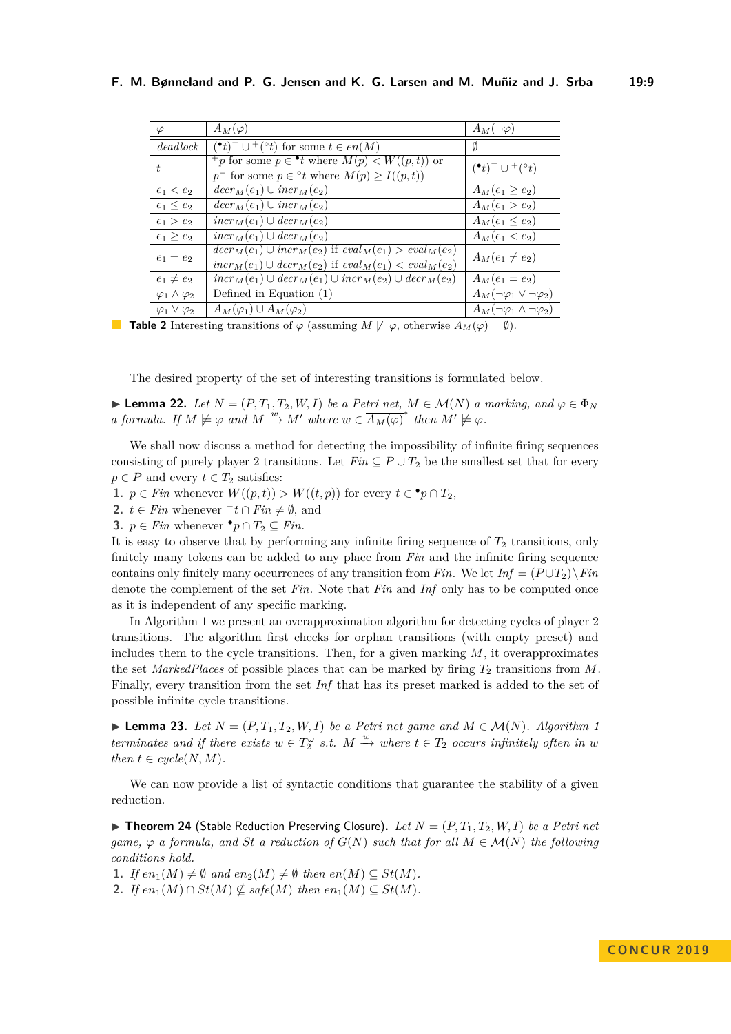<span id="page-8-0"></span>

| $\varphi$                    | $A_M(\varphi)$                                                        | $A_M(\neg\varphi)$                      |  |
|------------------------------|-----------------------------------------------------------------------|-----------------------------------------|--|
| deadlock                     | $(\bullet t)^{-} \cup^{+}(\circ t)$ for some $t \in en(M)$            | Ø                                       |  |
| $t_{i}$                      | <sup>+</sup> p for some $p \in \bullet t$ where $M(p) < W((p, t))$ or | $(\bullet t)^- \cup^+(\circ t)$         |  |
|                              | $p^-$ for some $p \in {}^{\circ}t$ where $M(p) \geq I((p,t))$         |                                         |  |
| $e_1 < e_2$                  | $decr_M(e_1) \cup incr_M(e_2)$                                        | $A_M(e_1 \geq e_2)$                     |  |
| $e_1 \leq e_2$               | $decr_M(e_1) \cup incr_M(e_2)$                                        | $A_M(e_1 > e_2)$                        |  |
| $e_1 > e_2$                  | $incr_M(e_1) \cup decr_M(e_2)$                                        | $A_M(e_1 \leq e_2)$                     |  |
| $e_1 \geq e_2$               | $incr_M(e_1) \cup decr_M(e_2)$                                        | $A_M(e_1 < e_2)$                        |  |
| $e_1 = e_2$                  | $decr_M(e_1) \cup incr_M(e_2)$ if $eval_M(e_1) > eval_M(e_2)$         |                                         |  |
|                              | $incrM(e1) \cup decrM(e2)$ if $evalM(e1) < evalM(e2)$                 | $A_M(e_1 \neq e_2)$                     |  |
| $e_1 \neq e_2$               | $incr_M(e_1) \cup decr_M(e_1) \cup incr_M(e_2) \cup decr_M(e_2)$      | $A_M(e_1 = e_2)$                        |  |
| $\varphi_1 \wedge \varphi_2$ | Defined in Equation $(1)$                                             | $A_M(\neg\varphi_1 \vee \neg\varphi_2)$ |  |
| $\varphi_1 \vee \varphi_2$   | $A_M(\varphi_1) \cup A_M(\varphi_2)$                                  | $A_M(\neg\varphi_1\wedge\neg\varphi_2)$ |  |

**Table 2** Interesting transitions of  $\varphi$  (assuming  $M \not\models \varphi$ , otherwise  $A_M(\varphi) = \emptyset$ ).

The desired property of the set of interesting transitions is formulated below.

<span id="page-8-1"></span>► **Lemma 22.** *Let*  $N = (P, T_1, T_2, W, I)$  *be a Petri net,*  $M \in \mathcal{M}(N)$  *a marking, and*  $\varphi \in \Phi_N$ *a formula. If*  $M \not\models \varphi$  *and*  $M \xrightarrow{w} M'$  *where*  $w \in \overline{A_M(\varphi)}^*$  *then*  $M' \not\models \varphi$ *.* 

We shall now discuss a method for detecting the impossibility of infinite firing sequences consisting of purely player 2 transitions. Let  $Fin \subseteq P \cup T_2$  be the smallest set that for every  $p \in P$  and every  $t \in T_2$  satisfies:

**1.**  $p \in \text{Fin}$  whenever  $W((p, t)) > W((t, p))$  for every  $t \in \mathbf{P}$   $p \cap T_2$ ,

**2.** *t* ∈ *Fin* whenever  $\overline{\phantom{a}}$  *t* ∩ *Fin*  $\neq$  Ø, and

**3.**  $p \in Fin$  whenever  $\bullet p \cap T_2 \subseteq Fin$ .

It is easy to observe that by performing any infinite firing sequence of  $T_2$  transitions, only finitely many tokens can be added to any place from *Fin* and the infinite firing sequence contains only finitely many occurrences of any transition from *Fin*. We let  $Inf = (P \cup T_2) \setminus Fin$ denote the complement of the set *Fin*. Note that *Fin* and *Inf* only has to be computed once as it is independent of any specific marking.

In Algorithm [1](#page-9-0) we present an overapproximation algorithm for detecting cycles of player 2 transitions. The algorithm first checks for orphan transitions (with empty preset) and includes them to the cycle transitions. Then, for a given marking *M*, it overapproximates the set *MarkedPlaces* of possible places that can be marked by firing  $T_2$  transitions from M. Finally, every transition from the set *Inf* that has its preset marked is added to the set of possible infinite cycle transitions.

<span id="page-8-2"></span>▶ **Lemma 23.** *Let*  $N = (P, T_1, T_2, W, I)$  *be a Petri net game and*  $M \in \mathcal{M}(N)$ *. Algorithm [1](#page-9-0) terminates and if there exists*  $w \in T_2^{\omega}$  *s.t.*  $M \xrightarrow{w}$  *where*  $t \in T_2$  *occurs infinitely often in w then*  $t \in cycle(N, M)$ *.* 

We can now provide a list of syntactic conditions that guarantee the stability of a given reduction.

<span id="page-8-3"></span> $\triangleright$  **Theorem 24** (Stable Reduction Preserving Closure). Let  $N = (P, T_1, T_2, W, I)$  be a Petri net *game,*  $\varphi$  *a formula, and St a reduction of*  $G(N)$  *such that for all*  $M \in \mathcal{M}(N)$  *the following conditions hold.*

<span id="page-8-5"></span><span id="page-8-4"></span>1. *If*  $en_1(M) \neq \emptyset$  and  $en_2(M) \neq \emptyset$  then  $en(M) \subseteq St(M)$ . 2. *If*  $en_1(M) \cap St(M) \nsubseteq sat(e(M)$  *then*  $en_1(M) \subseteq St(M)$ *.*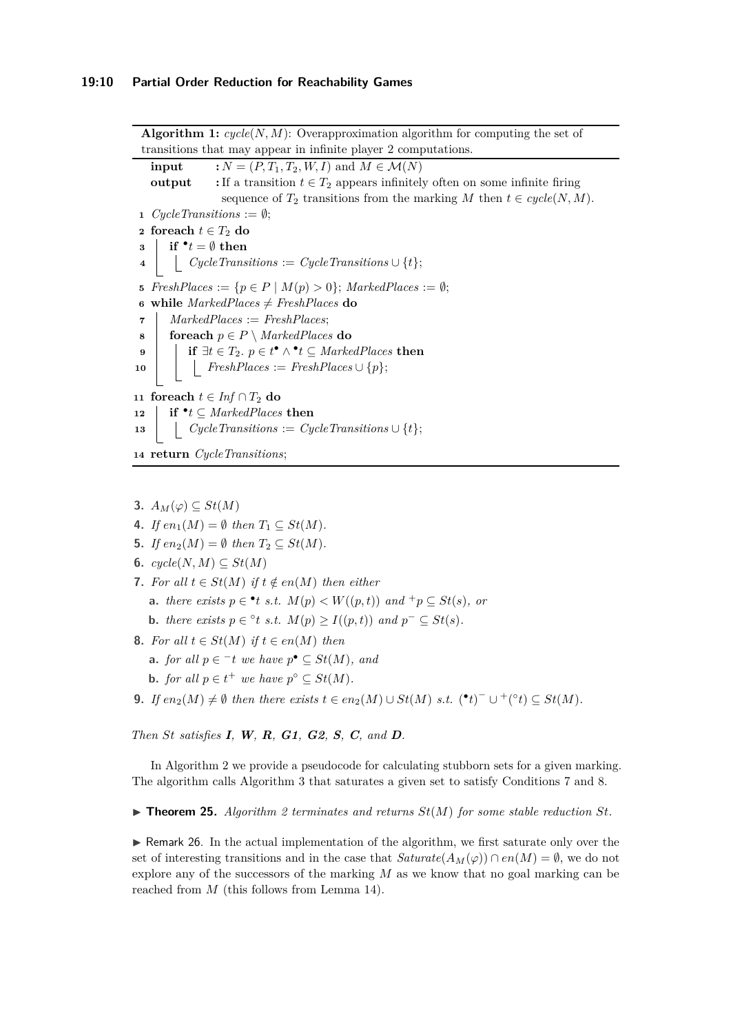<span id="page-9-4"></span><span id="page-9-3"></span>**Algorithm 1:** *cycle*(*N, M*): Overapproximation algorithm for computing the set of transitions that may appear in infinite player 2 computations. **input**  $: N = (P, T_1, T_2, W, I)$  and  $M \in \mathcal{M}(N)$ **output** : If a transition  $t \in T_2$  appears infinitely often on some infinite firing sequence of  $T_2$  transitions from the marking *M* then  $t \in cycle(N, M)$ .  $Cycle\,Transitions := \emptyset;$  **foreach**  $t \in T_2$  **do**  $\mathbf{a} \parallel \mathbf{if} \bullet t = \emptyset \text{ then}$  $\downarrow$  **c**  $\downarrow$  *CycleTransitions* := *CycleTransitions*  $\cup$  {*t*};  $FreshPlaces := \{p \in P \mid M(p) > 0\};$   $MarketPlaces := \emptyset;$  while  $MarketPlaces \neq FreshPlaces$  **do**  *MarkedPlaces* := *FreshPlaces*; **foreach**  $p \in P \setminus \textit{MarketPlaces}$  **do**   $\vert$  **if** ∃*t* ∈ *T*<sub>2</sub>*. p* ∈ *t*<sup>●</sup> ∧ <sup>●</sup>*t*</sup> ⊆ *MarkedPlaces* **then FreshPlaces** := **FreshPlaces**  $\cup \{p\};$  **foreach**  $t \text{ ∈ } Inf ∩ T_2$  **do if**  $\cdot$ *t* ⊆ *MarkedPlaces* **then**  $\vert$  *CycleTransitions* := *CycleTransitions*  $\cup$  {*t*}; **return** *CycleTransitions*;

- <span id="page-9-11"></span><span id="page-9-6"></span><span id="page-9-5"></span><span id="page-9-0"></span>**3.**  $A_M(φ)$  ⊂  $St(M)$
- <span id="page-9-16"></span>4. *If*  $en_1(M) = \emptyset$  *then*  $T_1 \subseteq St(M)$ .
- <span id="page-9-12"></span>**5.** *If*  $en_2(M) = \emptyset$  *then*  $T_2 \subseteq St(M)$ *.*
- <span id="page-9-13"></span>**6.**  $cycle(N, M) \subseteq St(M)$
- <span id="page-9-7"></span><span id="page-9-1"></span>**7.** For all  $t \in St(M)$  if  $t \notin en(M)$  then either
	- **a.** *there exists*  $p \in \text{L}$  *t s.t.*  $M(p) \lt W((p, t))$  *and*  $^+p \subseteq St(s)$ *, or*
	- **b.** *there exists*  $p \in \text{°}t$  *s.t.*  $M(p) \ge I((p, t))$  *and*  $p^{-} \subseteq St(s)$ *.*
- <span id="page-9-9"></span><span id="page-9-8"></span><span id="page-9-2"></span>**8.** *For all*  $t \in St(M)$  *if*  $t \in en(M)$  *then* 
	- **a.** *for all*  $p \in \textit{T}$  *t we have*  $p^{\bullet} \subseteq St(M)$ *, and*
	- **b.** *for all*  $p \in t^+$  *we have*  $p^{\circ} \subseteq St(M)$ *.*
- <span id="page-9-14"></span><span id="page-9-10"></span>**9.** *If*  $en_2(M) \neq \emptyset$  *then there exists*  $t \in en_2(M) \cup St(M)$  *s.t.*  $(\cdot^t)^{-} \cup (\cdot^t)^{\perp} \subseteq St(M)$ *.*

*Then St satisfies [I](#page-4-0), [W](#page-4-0), [R](#page-4-0), [G1](#page-4-0), [G2](#page-4-0), [S](#page-4-0), [C](#page-4-0), and [D](#page-4-0).*

In Algorithm [2](#page-10-0) we provide a pseudocode for calculating stubborn sets for a given marking. The algorithm calls Algorithm [3](#page-11-0) that saturates a given set to satisfy Conditions [7](#page-9-1) and [8.](#page-9-2)

<span id="page-9-15"></span> $\triangleright$  **Theorem [2](#page-10-0)5.** *Algorithm* 2 *terminates and returns*  $St(M)$  *for some stable reduction*  $St$ *.* 

 $\triangleright$  Remark 26. In the actual implementation of the algorithm, we first saturate only over the set of interesting transitions and in the case that  $Saturate(A_M(\varphi)) \cap en(M) = \emptyset$ , we do not explore any of the successors of the marking *M* as we know that no goal marking can be reached from *M* (this follows from Lemma [14\)](#page-5-1).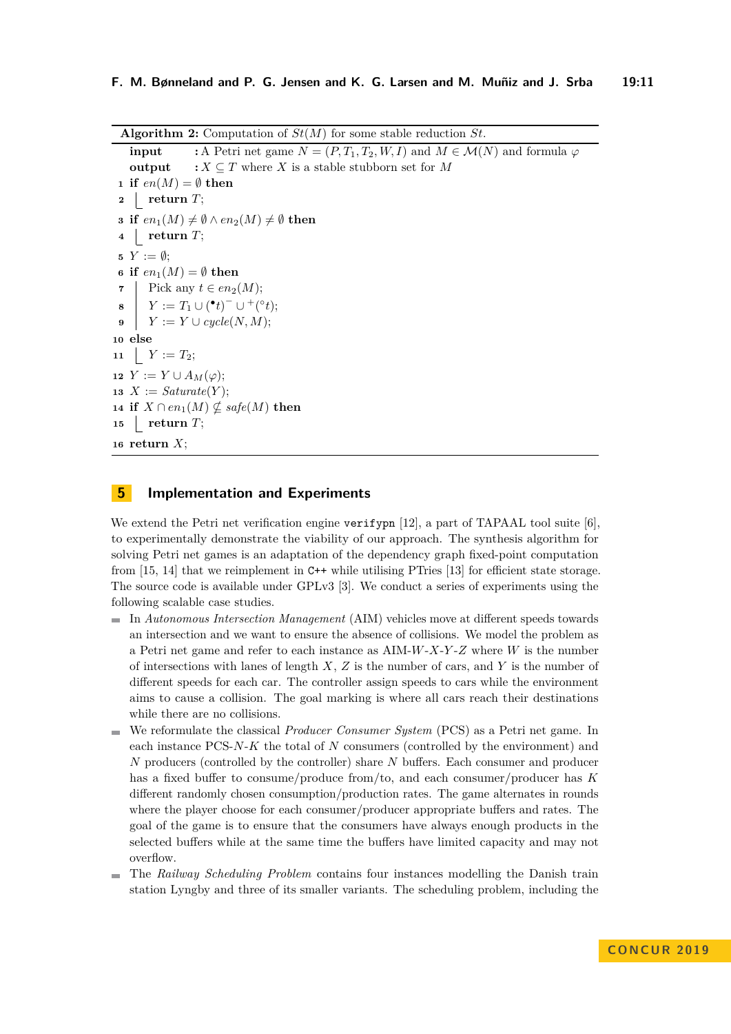**Algorithm 2:** Computation of *St*(*M*) for some stable reduction *St*.

<span id="page-10-7"></span><span id="page-10-6"></span><span id="page-10-4"></span><span id="page-10-1"></span>**input** :A Petri net game  $N = (P, T_1, T_2, W, I)$  and  $M \in \mathcal{M}(N)$  and formula  $\varphi$ **output**  $: X \subseteq T$  where *X* is a stable stubborn set for *M*  **if**  $en(M) = \emptyset$  **then return** *T*; **if**  $en_1(M) \neq \emptyset \wedge en_2(M) \neq \emptyset$  **then return** *T*;  $Y := \emptyset$ ; **if**  $en_1(M) = \emptyset$  **then**  Pick any  $t \in en_2(M);$  $\begin{array}{ccc} \mathbf{s} & Y := T_1 \cup (^\bullet t)^- \cup {}^+(^\circ t); \end{array}$   $Y := Y \cup cycle(N, M);$ **10 else** 11  $Y := T_2;$   $Y := Y \cup A_M(\varphi);$  $X := Sature(Y);$  **if**  $X \cap en_1(M) \nsubseteq safe(M)$  **then return** *T*; **return** *X*;

### <span id="page-10-5"></span><span id="page-10-3"></span><span id="page-10-2"></span><span id="page-10-0"></span>**5 Implementation and Experiments**

We extend the Petri net verification engine verifypn [\[12\]](#page-14-10), a part of TAPAAL tool suite [\[6\]](#page-13-0). to experimentally demonstrate the viability of our approach. The synthesis algorithm for solving Petri net games is an adaptation of the dependency graph fixed-point computation from [\[15,](#page-14-11) [14\]](#page-14-3) that we reimplement in C++ while utilising PTries [\[13\]](#page-14-12) for efficient state storage. The source code is available under GPLv3 [\[3\]](#page-13-8). We conduct a series of experiments using the following scalable case studies.

- In *Autonomous Intersection Management* (AIM) vehicles move at different speeds towards an intersection and we want to ensure the absence of collisions. We model the problem as a Petri net game and refer to each instance as AIM-*W*-*X*-*Y* -*Z* where *W* is the number of intersections with lanes of length *X*, *Z* is the number of cars, and *Y* is the number of different speeds for each car. The controller assign speeds to cars while the environment aims to cause a collision. The goal marking is where all cars reach their destinations while there are no collisions.
- We reformulate the classical *Producer Consumer System* (PCS) as a Petri net game. In each instance PCS-*N*-*K* the total of *N* consumers (controlled by the environment) and *N* producers (controlled by the controller) share *N* buffers. Each consumer and producer has a fixed buffer to consume/produce from/to, and each consumer/producer has *K* different randomly chosen consumption/production rates. The game alternates in rounds where the player choose for each consumer/producer appropriate buffers and rates. The goal of the game is to ensure that the consumers have always enough products in the selected buffers while at the same time the buffers have limited capacity and may not overflow.
- The *Railway Scheduling Problem* contains four instances modelling the Danish train station Lyngby and three of its smaller variants. The scheduling problem, including the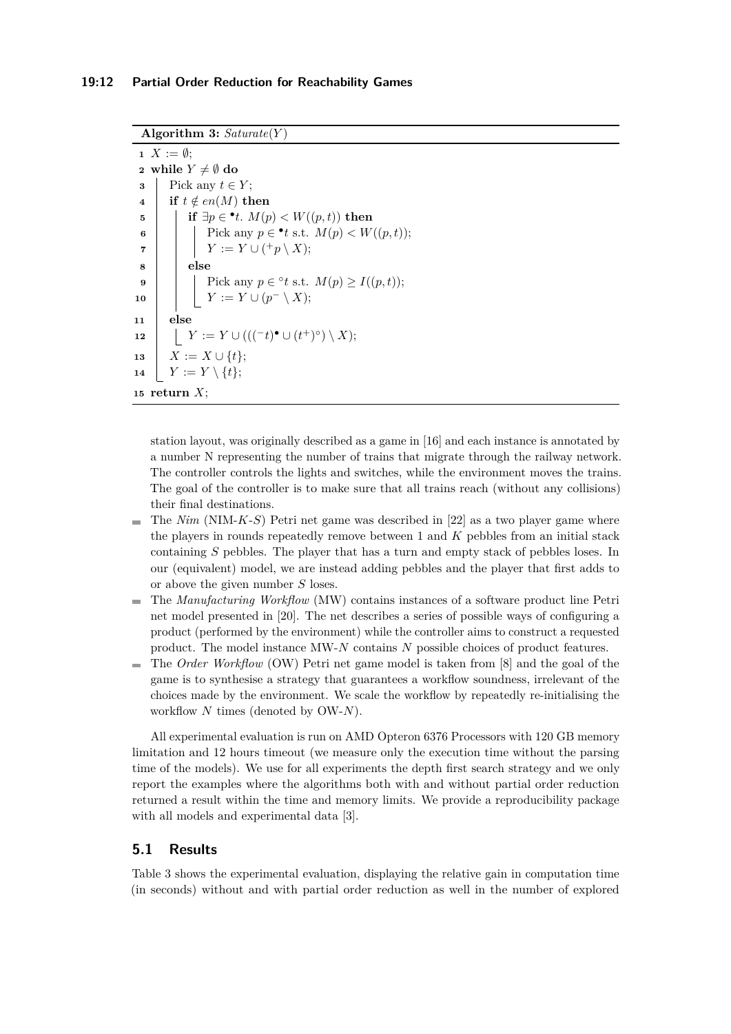```
Algorithm 3: Saturate(Y )
```

```
1 X := \emptyset:
 2 while Y \neq \emptyset do
 3 Pick any t \in Y;
 4 if t \notin en(M) then
  \textbf{5} | if \exists p \in \textbf{^{\bullet}} t. M(p) < W((p, t)) then
  6 Pick any p \in \mathbf{t} s.t. M(p) \lt W((p, t));\mathcal{T} | | Y := Y \cup (\dagger p \setminus X);8 else
  9 \vert Pick any p \in {}^{\circ}t s.t. M(p) \ge I((p, t));\boxed{10} \boxed{} \boxed{Y} := Y \cup (p^- \setminus X);11 else
\blacksquare z Y := Y \cup ((C^t)^{\bullet} \cup (t^+)^{\circ}) \setminus X);13 \vert X := X \cup \{t\};\begin{array}{ccc} \mathbf{14} & | & Y := Y \setminus \{t\}; \end{array}15 return X;
```
<span id="page-11-7"></span><span id="page-11-2"></span><span id="page-11-1"></span><span id="page-11-0"></span>station layout, was originally described as a game in [\[16\]](#page-14-13) and each instance is annotated by a number N representing the number of trains that migrate through the railway network. The controller controls the lights and switches, while the environment moves the trains. The goal of the controller is to make sure that all trains reach (without any collisions) their final destinations.

- The *Nim* (NIM-*K*-*S*) Petri net game was described in [\[22\]](#page-14-14) as a two player game where  $\sim$ the players in rounds repeatedly remove between 1 and *K* pebbles from an initial stack containing *S* pebbles. The player that has a turn and empty stack of pebbles loses. In our (equivalent) model, we are instead adding pebbles and the player that first adds to or above the given number *S* loses.
- The *Manufacturing Workflow* (MW) contains instances of a software product line Petri m. net model presented in [\[20\]](#page-14-15). The net describes a series of possible ways of configuring a product (performed by the environment) while the controller aims to construct a requested product. The model instance MW-*N* contains *N* possible choices of product features.
- The *Order Workflow* (OW) Petri net game model is taken from [\[8\]](#page-13-9) and the goal of the game is to synthesise a strategy that guarantees a workflow soundness, irrelevant of the choices made by the environment. We scale the workflow by repeatedly re-initialising the workflow *N* times (denoted by OW-*N*).

All experimental evaluation is run on AMD Opteron 6376 Processors with 120 GB memory limitation and 12 hours timeout (we measure only the execution time without the parsing time of the models). We use for all experiments the depth first search strategy and we only report the examples where the algorithms both with and without partial order reduction returned a result within the time and memory limits. We provide a reproducibility package with all models and experimental data [\[3\]](#page-13-8).

# **5.1 Results**

Table [3](#page-12-0) shows the experimental evaluation, displaying the relative gain in computation time (in seconds) without and with partial order reduction as well in the number of explored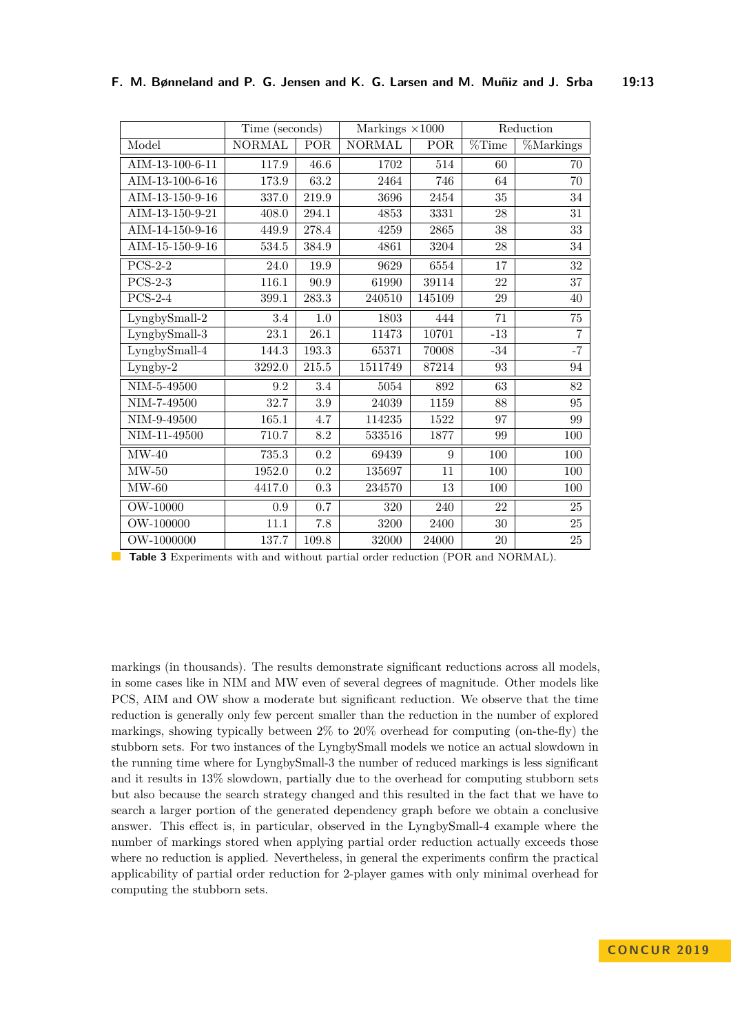<span id="page-12-0"></span>

|                    | Time (seconds) |          | Markings $\times 1000$ |            | Reduction            |                |
|--------------------|----------------|----------|------------------------|------------|----------------------|----------------|
| Model              | <b>NORMAL</b>  | POR      | <b>NORMAL</b>          | POR        | $\overline{\%}$ Time | %Markings      |
| AIM-13-100-6-11    | 117.9          | 46.6     | 1702                   | 514        | 60                   | 70             |
| AIM-13-100-6-16    | 173.9          | 63.2     | 2464                   | 746        | 64                   | $70\,$         |
| AIM-13-150-9-16    | 337.0          | 219.9    | 3696                   | 2454       | $35\,$               | $34\,$         |
| AIM-13-150-9-21    | 408.0          | 294.1    | 4853                   | 3331       | 28                   | $31\,$         |
| AIM-14-150-9-16    | 449.9          | 278.4    | 4259                   | 2865       | 38                   | $33\,$         |
| AIM-15-150-9-16    | 534.5          | 384.9    | 4861                   | 3204       | 28                   | 34             |
| $PCS-2-2$          | 24.0           | 19.9     | 9629                   | 6554       | 17                   | $32\,$         |
| $PCS-2-3$          | 116.1          | 90.9     | 61990                  | 39114      | 22                   | $37\,$         |
| $PCS-2-4$          | 399.1          | 283.3    | 240510                 | $145109\,$ | 29                   | 40             |
| LyngbySmall-2      | 3.4            | 1.0      | 1803                   | 444        | 71                   | $75\,$         |
| LyngbySmall-3      | $23.1\,$       | $26.1\,$ | 11473                  | 10701      | $\mbox{-}13$         | $\overline{7}$ |
| LyngbySmall-4      | 144.3          | 193.3    | 65371                  | 70008      | $-34$                | $-7$           |
| Lyngby-2           | 3292.0         | 215.5    | 1511749                | 87214      | 93                   | 94             |
| $\rm NIM$ -5-49500 | 9.2            | $3.4\,$  | 5054                   | 892        | 63                   | 82             |
| NIM-7-49500        | 32.7           | $\!.9$   | 24039                  | 1159       | 88                   | $\rm 95$       |
| NIM-9-49500        | $165.1\,$      | 4.7      | 114235                 | 1522       | 97                   | 99             |
| NIM-11-49500       | $710.7\,$      | 8.2      | 533516                 | 1877       | 99                   | 100            |
| $MW-40$            | 735.3          | 0.2      | 69439                  | 9          | 100                  | 100            |
| $MW-50$            | 1952.0         | 0.2      | 135697                 | 11         | 100                  | 100            |
| $MW-60$            | 4417.0         | 0.3      | 234570                 | 13         | 100                  | 100            |
| OW-10000           | $\rm 0.9$      | 0.7      | 320                    | 240        | 22                   | $25\,$         |
| OW-100000          | 11.1           | 7.8      | 3200                   | 2400       | $30\,$               | $25\,$         |
| OW-1000000         | 137.7          | 109.8    | 32000                  | 24000      | $20\,$               | $25\,$         |

**Table 3** Experiments with and without partial order reduction (POR and NORMAL).

markings (in thousands). The results demonstrate significant reductions across all models, in some cases like in NIM and MW even of several degrees of magnitude. Other models like PCS, AIM and OW show a moderate but significant reduction. We observe that the time reduction is generally only few percent smaller than the reduction in the number of explored markings, showing typically between  $2\%$  to  $20\%$  overhead for computing (on-the-fly) the stubborn sets. For two instances of the LyngbySmall models we notice an actual slowdown in the running time where for LyngbySmall-3 the number of reduced markings is less significant and it results in 13% slowdown, partially due to the overhead for computing stubborn sets but also because the search strategy changed and this resulted in the fact that we have to search a larger portion of the generated dependency graph before we obtain a conclusive answer. This effect is, in particular, observed in the LyngbySmall-4 example where the number of markings stored when applying partial order reduction actually exceeds those where no reduction is applied. Nevertheless, in general the experiments confirm the practical applicability of partial order reduction for 2-player games with only minimal overhead for computing the stubborn sets.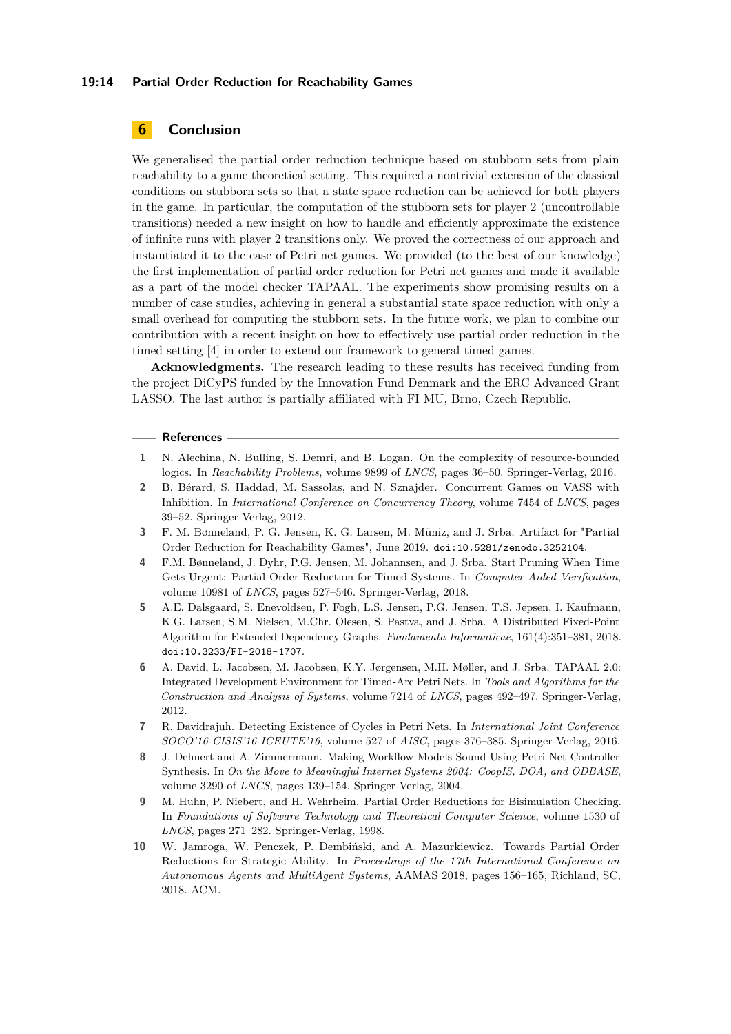### **19:14 Partial Order Reduction for Reachability Games**

# **6 Conclusion**

We generalised the partial order reduction technique based on stubborn sets from plain reachability to a game theoretical setting. This required a nontrivial extension of the classical conditions on stubborn sets so that a state space reduction can be achieved for both players in the game. In particular, the computation of the stubborn sets for player 2 (uncontrollable transitions) needed a new insight on how to handle and efficiently approximate the existence of infinite runs with player 2 transitions only. We proved the correctness of our approach and instantiated it to the case of Petri net games. We provided (to the best of our knowledge) the first implementation of partial order reduction for Petri net games and made it available as a part of the model checker TAPAAL. The experiments show promising results on a number of case studies, achieving in general a substantial state space reduction with only a small overhead for computing the stubborn sets. In the future work, we plan to combine our contribution with a recent insight on how to effectively use partial order reduction in the timed setting [\[4\]](#page-13-7) in order to extend our framework to general timed games.

**Acknowledgments.** The research leading to these results has received funding from the project DiCyPS funded by the Innovation Fund Denmark and the ERC Advanced Grant LASSO. The last author is partially affiliated with FI MU, Brno, Czech Republic.

#### **References**

- <span id="page-13-4"></span>**1** N. Alechina, N. Bulling, S. Demri, and B. Logan. On the complexity of resource-bounded logics. In *Reachability Problems*, volume 9899 of *LNCS*, pages 36–50. Springer-Verlag, 2016.
- <span id="page-13-5"></span>**2** B. Bérard, S. Haddad, M. Sassolas, and N. Sznajder. Concurrent Games on VASS with Inhibition. In *International Conference on Concurrency Theory*, volume 7454 of *LNCS*, pages 39–52. Springer-Verlag, 2012.
- <span id="page-13-8"></span>**3** F. M. Bønneland, P. G. Jensen, K. G. Larsen, M. M˜uniz, and J. Srba. Artifact for "Partial Order Reduction for Reachability Games", June 2019. [doi:10.5281/zenodo.3252104](http://dx.doi.org/10.5281/zenodo.3252104).
- <span id="page-13-7"></span>**4** F.M. Bønneland, J. Dyhr, P.G. Jensen, M. Johannsen, and J. Srba. Start Pruning When Time Gets Urgent: Partial Order Reduction for Timed Systems. In *Computer Aided Verification*, volume 10981 of *LNCS*, pages 527–546. Springer-Verlag, 2018.
- <span id="page-13-1"></span>**5** A.E. Dalsgaard, S. Enevoldsen, P. Fogh, L.S. Jensen, P.G. Jensen, T.S. Jepsen, I. Kaufmann, K.G. Larsen, S.M. Nielsen, M.Chr. Olesen, S. Pastva, and J. Srba. A Distributed Fixed-Point Algorithm for Extended Dependency Graphs. *Fundamenta Informaticae*, 161(4):351–381, 2018. [doi:10.3233/FI-2018-1707](http://dx.doi.org/10.3233/FI-2018-1707).
- <span id="page-13-0"></span>**6** A. David, L. Jacobsen, M. Jacobsen, K.Y. Jørgensen, M.H. Møller, and J. Srba. TAPAAL 2.0: Integrated Development Environment for Timed-Arc Petri Nets. In *Tools and Algorithms for the Construction and Analysis of Systems*, volume 7214 of *LNCS*, pages 492–497. Springer-Verlag, 2012.
- <span id="page-13-6"></span>**7** R. Davidrajuh. Detecting Existence of Cycles in Petri Nets. In *International Joint Conference SOCO'16-CISIS'16-ICEUTE'16*, volume 527 of *AISC*, pages 376–385. Springer-Verlag, 2016.
- <span id="page-13-9"></span>**8** J. Dehnert and A. Zimmermann. Making Workflow Models Sound Using Petri Net Controller Synthesis. In *On the Move to Meaningful Internet Systems 2004: CoopIS, DOA, and ODBASE*, volume 3290 of *LNCS*, pages 139–154. Springer-Verlag, 2004.
- <span id="page-13-3"></span>**9** M. Huhn, P. Niebert, and H. Wehrheim. Partial Order Reductions for Bisimulation Checking. In *Foundations of Software Technology and Theoretical Computer Science*, volume 1530 of *LNCS*, pages 271–282. Springer-Verlag, 1998.
- <span id="page-13-2"></span>**10** W. Jamroga, W. Penczek, P. Dembiński, and A. Mazurkiewicz. Towards Partial Order Reductions for Strategic Ability. In *Proceedings of the 17th International Conference on Autonomous Agents and MultiAgent Systems*, AAMAS 2018, pages 156–165, Richland, SC, 2018. ACM.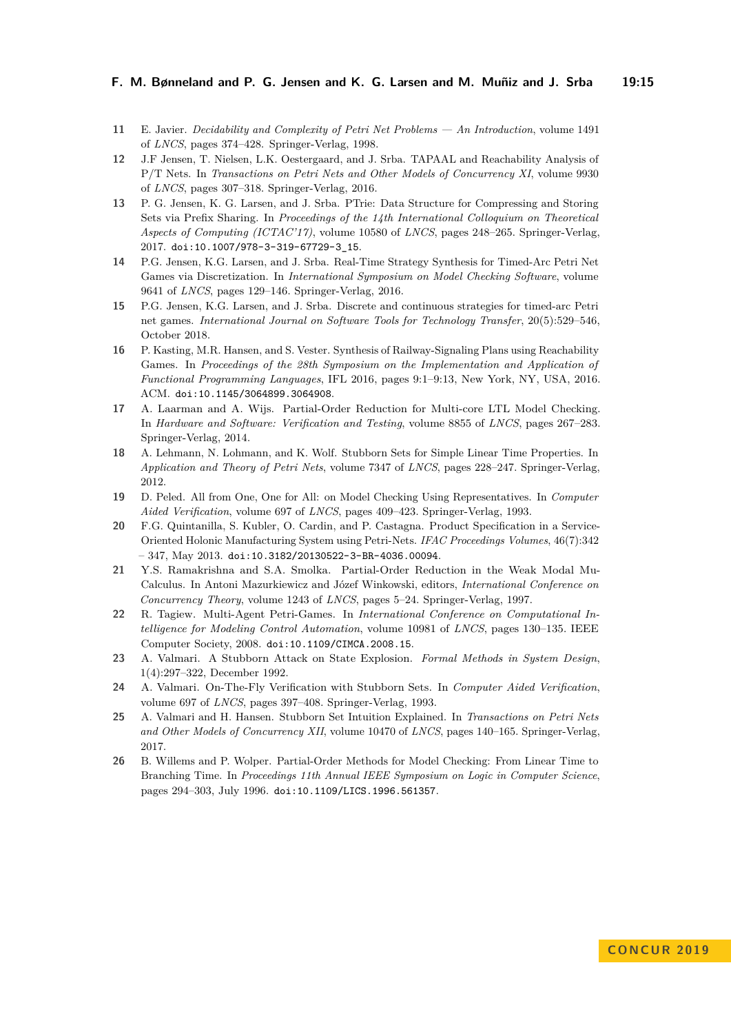### **F. M. Bønneland and P. G. Jensen and K. G. Larsen and M. Muñiz and J. Srba 19:15**

- <span id="page-14-9"></span>**11** E. Javier. *Decidability and Complexity of Petri Net Problems — An Introduction*, volume 1491 of *LNCS*, pages 374–428. Springer-Verlag, 1998.
- <span id="page-14-10"></span>**12** J.F Jensen, T. Nielsen, L.K. Oestergaard, and J. Srba. TAPAAL and Reachability Analysis of P/T Nets. In *Transactions on Petri Nets and Other Models of Concurrency XI*, volume 9930 of *LNCS*, pages 307–318. Springer-Verlag, 2016.
- <span id="page-14-12"></span>**13** P. G. Jensen, K. G. Larsen, and J. Srba. PTrie: Data Structure for Compressing and Storing Sets via Prefix Sharing. In *Proceedings of the 14th International Colloquium on Theoretical Aspects of Computing (ICTAC'17)*, volume 10580 of *LNCS*, pages 248–265. Springer-Verlag, 2017. [doi:10.1007/978-3-319-67729-3\\_15](http://dx.doi.org/10.1007/978-3-319-67729-3_15).
- <span id="page-14-3"></span>**14** P.G. Jensen, K.G. Larsen, and J. Srba. Real-Time Strategy Synthesis for Timed-Arc Petri Net Games via Discretization. In *International Symposium on Model Checking Software*, volume 9641 of *LNCS*, pages 129–146. Springer-Verlag, 2016.
- <span id="page-14-11"></span>**15** P.G. Jensen, K.G. Larsen, and J. Srba. Discrete and continuous strategies for timed-arc Petri net games. *International Journal on Software Tools for Technology Transfer*, 20(5):529–546, October 2018.
- <span id="page-14-13"></span>**16** P. Kasting, M.R. Hansen, and S. Vester. Synthesis of Railway-Signaling Plans using Reachability Games. In *Proceedings of the 28th Symposium on the Implementation and Application of Functional Programming Languages*, IFL 2016, pages 9:1–9:13, New York, NY, USA, 2016. ACM. [doi:10.1145/3064899.3064908](http://dx.doi.org/10.1145/3064899.3064908).
- <span id="page-14-6"></span>**17** A. Laarman and A. Wijs. Partial-Order Reduction for Multi-core LTL Model Checking. In *Hardware and Software: Verification and Testing*, volume 8855 of *LNCS*, pages 267–283. Springer-Verlag, 2014.
- <span id="page-14-5"></span>**18** A. Lehmann, N. Lohmann, and K. Wolf. Stubborn Sets for Simple Linear Time Properties. In *Application and Theory of Petri Nets*, volume 7347 of *LNCS*, pages 228–247. Springer-Verlag, 2012.
- <span id="page-14-4"></span>**19** D. Peled. All from One, One for All: on Model Checking Using Representatives. In *Computer Aided Verification*, volume 697 of *LNCS*, pages 409–423. Springer-Verlag, 1993.
- <span id="page-14-15"></span>**20** F.G. Quintanilla, S. Kubler, O. Cardin, and P. Castagna. Product Specification in a Service-Oriented Holonic Manufacturing System using Petri-Nets. *IFAC Proceedings Volumes*, 46(7):342  $-347$ , May 2013. [doi:10.3182/20130522-3-BR-4036.00094](http://dx.doi.org/10.3182/20130522-3-BR-4036.00094).
- <span id="page-14-7"></span>**21** Y.S. Ramakrishna and S.A. Smolka. Partial-Order Reduction in the Weak Modal Mu-Calculus. In Antoni Mazurkiewicz and Józef Winkowski, editors, *International Conference on Concurrency Theory*, volume 1243 of *LNCS*, pages 5–24. Springer-Verlag, 1997.
- <span id="page-14-14"></span>**22** R. Tagiew. Multi-Agent Petri-Games. In *International Conference on Computational Intelligence for Modeling Control Automation*, volume 10981 of *LNCS*, pages 130–135. IEEE Computer Society, 2008. [doi:10.1109/CIMCA.2008.15](http://dx.doi.org/10.1109/CIMCA.2008.15).
- <span id="page-14-1"></span>**23** A. Valmari. A Stubborn Attack on State Explosion. *Formal Methods in System Design*, 1(4):297–322, December 1992.
- <span id="page-14-0"></span>**24** A. Valmari. On-The-Fly Verification with Stubborn Sets. In *Computer Aided Verification*, volume 697 of *LNCS*, pages 397–408. Springer-Verlag, 1993.
- <span id="page-14-2"></span>**25** A. Valmari and H. Hansen. Stubborn Set Intuition Explained. In *Transactions on Petri Nets and Other Models of Concurrency XII*, volume 10470 of *LNCS*, pages 140–165. Springer-Verlag, 2017.
- <span id="page-14-8"></span>**26** B. Willems and P. Wolper. Partial-Order Methods for Model Checking: From Linear Time to Branching Time. In *Proceedings 11th Annual IEEE Symposium on Logic in Computer Science*, pages 294–303, July 1996. [doi:10.1109/LICS.1996.561357](http://dx.doi.org/10.1109/LICS.1996.561357).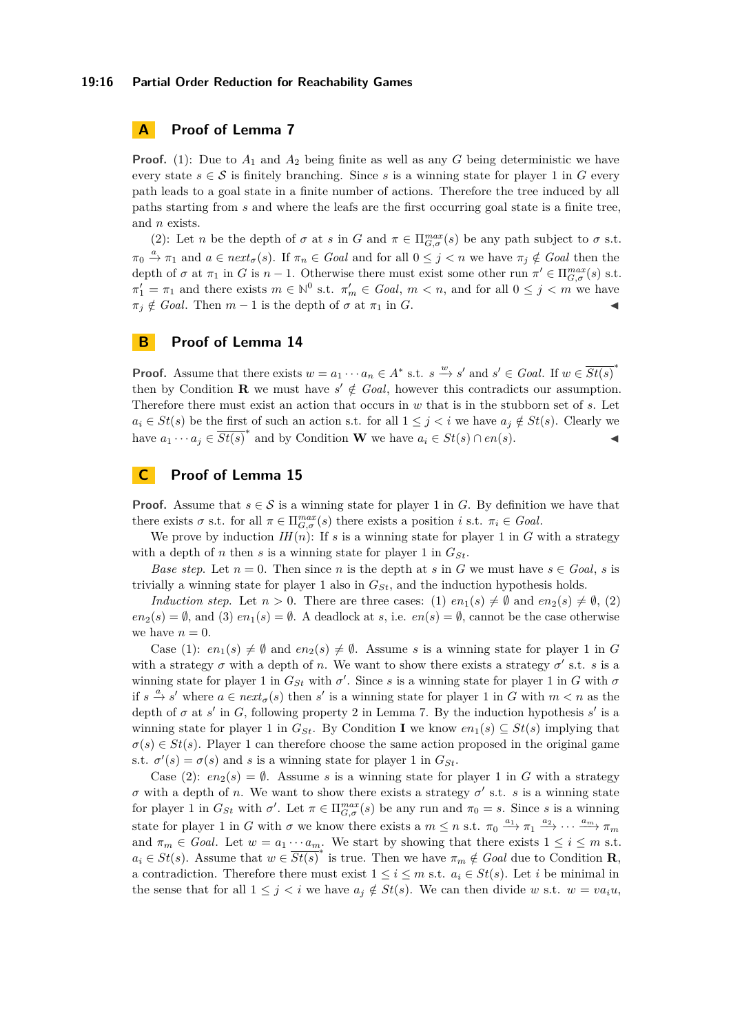### **19:16 Partial Order Reduction for Reachability Games**

# **A Proof of Lemma [7](#page-3-2)**

**Proof.** [\(1\)](#page-3-3): Due to  $A_1$  and  $A_2$  being finite as well as any *G* being deterministic we have every state  $s \in \mathcal{S}$  is finitely branching. Since s is a winning state for player 1 in G every path leads to a goal state in a finite number of actions. Therefore the tree induced by all paths starting from *s* and where the leafs are the first occurring goal state is a finite tree, and *n* exists.

[\(2\)](#page-3-4): Let *n* be the depth of  $\sigma$  at *s* in *G* and  $\pi \in \Pi_{G,\sigma}^{max}(s)$  be any path subject to  $\sigma$  s.t.  $\pi_0 \stackrel{a}{\to} \pi_1$  and  $a \in next_{\sigma}(s)$ . If  $\pi_n \in Goal$  and for all  $0 \leq j < n$  we have  $\pi_j \notin Goal$  then the depth of  $\sigma$  at  $\pi_1$  in *G* is  $n-1$ . Otherwise there must exist some other run  $\pi' \in \Pi_{G,\sigma}^{max}(s)$  s.t.  $\pi_1' = \pi_1$  and there exists  $m \in \mathbb{N}^0$  s.t.  $\pi_m' \in \text{Goal}, m < n$ , and for all  $0 \leq j < m$  we have  $\pi_i \notin \text{Goal}$ . Then  $m-1$  is the depth of  $\sigma$  at  $\pi_1$  in *G*.

# **B Proof of Lemma [14](#page-5-1)**

**Proof.** Assume that there exists  $w = a_1 \cdots a_n \in A^*$  s.t.  $s \xrightarrow{w} s'$  and  $s' \in Goal$ . If  $w \in \overline{St(s)}^*$ then by Condition **[R](#page-4-0)** we must have  $s' \notin \text{Goal}$ , however this contradicts our assumption. Therefore there must exist an action that occurs in *w* that is in the stubborn set of *s*. Let *a*<sup>*i*</sup> ∈ *St*(*s*) be the first of such an action s.t. for all  $1 ≤ j < i$  we have  $a_j ∉ St(s)$ . Clearly we have  $a_1 \cdots a_j \in \overline{St(s)}^*$  and by Condition **[W](#page-4-0)** we have  $a_i \in St(s) \cap en(s)$ .

# **C Proof of Lemma [15](#page-5-2)**

**Proof.** Assume that  $s \in \mathcal{S}$  is a winning state for player 1 in *G*. By definition we have that there exists  $\sigma$  s.t. for all  $\pi \in \Pi_{G,\sigma}^{max}(s)$  there exists a position *i* s.t.  $\pi_i \in \text{Goal}$ .

We prove by induction  $IH(n)$ : If *s* is a winning state for player 1 in *G* with a strategy with a depth of *n* then *s* is a winning state for player 1 in  $G_{St}$ .

*Base step.* Let  $n = 0$ . Then since *n* is the depth at *s* in *G* we must have  $s \in Goal$ , *s* is trivially a winning state for player 1 also in *GSt*, and the induction hypothesis holds.

*Induction step.* Let  $n > 0$ . There are three cases: (1)  $en_1(s) \neq \emptyset$  and  $en_2(s) \neq \emptyset$ , (2)  $en_2(s) = \emptyset$ , and (3)  $en_1(s) = \emptyset$ . A deadlock at *s*, i.e.  $en(s) = \emptyset$ , cannot be the case otherwise we have  $n = 0$ .

Case (1):  $en_1(s) \neq \emptyset$  and  $en_2(s) \neq \emptyset$ . Assume *s* is a winning state for player 1 in *G* with a strategy  $\sigma$  with a depth of *n*. We want to show there exists a strategy  $\sigma'$  s.t. *s* is a winning state for player 1 in  $G_{St}$  with  $\sigma'$ . Since *s* is a winning state for player 1 in *G* with  $\sigma$ if  $s \stackrel{a}{\to} s'$  where  $a \in next_{\sigma}(s)$  then  $s'$  is a winning state for player 1 in *G* with  $m < n$  as the depth of  $\sigma$  at  $s'$  in  $G$ , following property [2](#page-3-4) in Lemma [7.](#page-3-2) By the induction hypothesis  $s'$  is a winning state for player 1 in  $G_{St}$ . By Condition **[I](#page-4-0)** we know  $en_1(s) \subseteq St(s)$  implying that  $\sigma(s) \in St(s)$ . Player 1 can therefore choose the same action proposed in the original game s.t.  $\sigma'(s) = \sigma(s)$  and *s* is a winning state for player 1 in  $G_{St}$ .

Case (2):  $en_2(s) = \emptyset$ . Assume *s* is a winning state for player 1 in *G* with a strategy *σ* with a depth of *n*. We want to show there exists a strategy  $σ'$  s.t. *s* is a winning state for player 1 in  $G_{St}$  with  $\sigma'$ . Let  $\pi \in \Pi_{G,\sigma}^{max}(s)$  be any run and  $\pi_0 = s$ . Since *s* is a winning state for player 1 in *G* with  $\sigma$  we know there exists a  $m \leq n$  s.t.  $\pi_0 \xrightarrow{a_1} \pi_1 \xrightarrow{a_2} \cdots \xrightarrow{a_m} \pi_m$ and  $\pi_m \in \text{Goal}$ . Let  $w = a_1 \cdots a_m$ . We start by showing that there exists  $1 \leq i \leq m$  s.t.  $a_i \in St(s)$ . Assume that  $w \in \overline{St(s)}^*$  is true. Then we have  $\pi_m \notin \text{Goal}$  due to Condition **[R](#page-4-0)**, a contradiction. Therefore there must exist  $1 \leq i \leq m$  s.t.  $a_i \in St(s)$ . Let *i* be minimal in the sense that for all  $1 \leq j \leq i$  we have  $a_j \notin St(s)$ . We can then divide *w* s.t.  $w = va_iu$ ,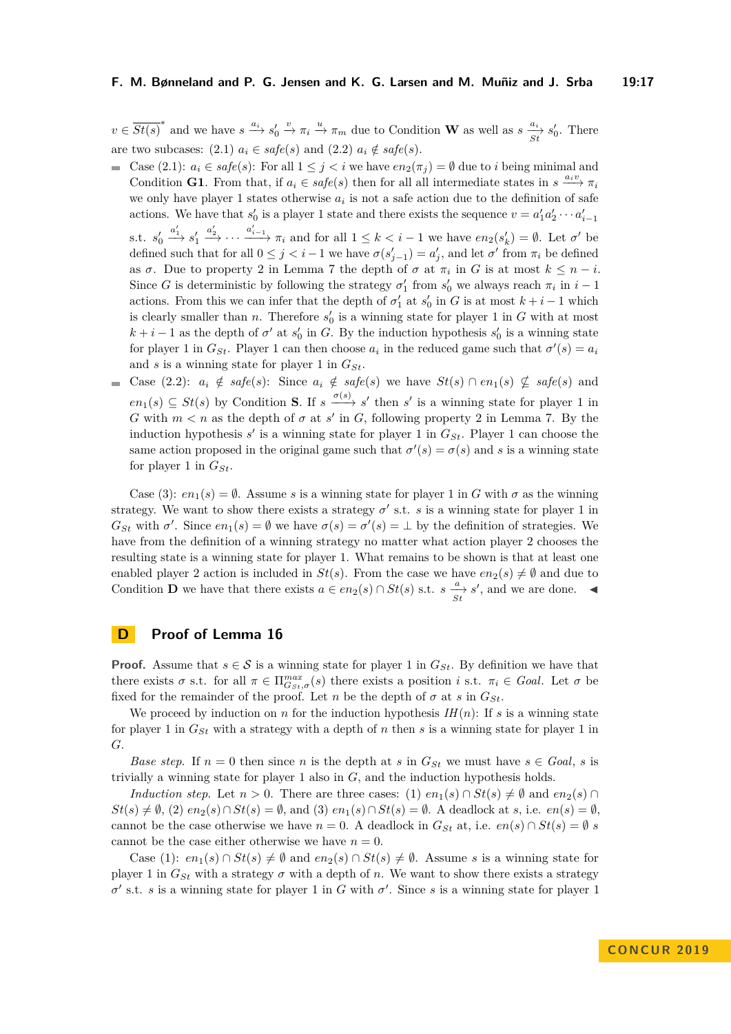$v \in \overline{St(s)}^*$  and we have  $s \xrightarrow{a_i} s'_0 \xrightarrow{v} \pi_i \xrightarrow{u} \pi_m$  due to Condition **[W](#page-4-0)** as well as  $s \xrightarrow{a_i} s'_0$ . There are two subcases: (2.1)  $a_i \in \text{safe}(s)$  and (2.2)  $a_i \notin \text{safe}(s)$ .

- Case (2.1):  $a_i \in safe(s)$ : For all  $1 \leq j < i$  we have  $en_2(\pi_i) = ∅$  due to *i* being minimal and Condition **[G1](#page-4-0)**. From that, if  $a_i \in \text{safe}(s)$  then for all all intermediate states in  $s \xrightarrow{a_i v} \pi_i$ we only have player 1 states otherwise  $a_i$  is not a safe action due to the definition of safe actions. We have that  $s'_0$  is a player 1 state and there exists the sequence  $v = a'_1 a'_2 \cdots a'_{i-1}$ s.t.  $s'_0$  $\stackrel{a_1'}{\longrightarrow} s_1'$  $a'_2, \ldots, a'_{i-1}$  *π*<sub>*i*</sub> and for all  $1 \leq k < i-1$  we have  $en_2(s'_k) = \emptyset$ . Let *σ*<sup>*'*</sup> be defined such that for all  $0 \leq j < i-1$  we have  $\sigma(s'_{j-1}) = a'_{j}$ , and let  $\sigma'$  from  $\pi_{i}$  be defined as  $\sigma$ . Due to property [2](#page-3-4) in Lemma [7](#page-3-2) the depth of  $\sigma$  at  $\pi_i$  in G is at most  $k \leq n - i$ . Since *G* is deterministic by following the strategy  $\sigma'_1$  from  $s'_0$  we always reach  $\pi_i$  in  $i-1$ actions. From this we can infer that the depth of  $\sigma'_1$  at  $s'_0$  in *G* is at most  $k + i - 1$  which is clearly smaller than *n*. Therefore  $s'_0$  is a winning state for player 1 in *G* with at most  $k + i - 1$  as the depth of  $\sigma'$  at  $s'_0$  in *G*. By the induction hypothesis  $s'_0$  is a winning state for player 1 in  $G_{St}$ . Player 1 can then choose  $a_i$  in the reduced game such that  $\sigma'(s) = a_i$ and *s* is a winning state for player 1 in *GSt*.
- Case (2.2):  $a_i \notin \text{safe}(s)$ : Since  $a_i \notin \text{safe}(s)$  we have  $St(s) \cap en_1(s) \nsubseteq \text{safe}(s)$  and  $en_1(s) \subseteq St(s)$  $en_1(s) \subseteq St(s)$  $en_1(s) \subseteq St(s)$  by Condition **S**. If  $s \xrightarrow{\sigma(s)} s'$  then  $s'$  is a winning state for player 1 in *G* with  $m < n$  as the depth of  $\sigma$  at  $s'$  in *G*, following property [2](#page-3-4) in Lemma [7.](#page-3-2) By the induction hypothesis  $s'$  is a winning state for player 1 in  $G_{St}$ . Player 1 can choose the same action proposed in the original game such that  $\sigma'(s) = \sigma(s)$  and *s* is a winning state for player 1 in  $G_{St}$ .

Case (3):  $en_1(s) = \emptyset$ . Assume *s* is a winning state for player 1 in *G* with  $\sigma$  as the winning strategy. We want to show there exists a strategy  $\sigma'$  s.t. *s* is a winning state for player 1 in  $G_{St}$  with  $\sigma'$ . Since  $en_1(s) = \emptyset$  we have  $\sigma(s) = \sigma'(s) = \bot$  by the definition of strategies. We have from the definition of a winning strategy no matter what action player 2 chooses the resulting state is a winning state for player 1. What remains to be shown is that at least one enabled player 2 action is included in  $St(s)$ . From the case we have  $en_2(s) \neq \emptyset$  and due to Condition **[D](#page-4-0)** we have that there exists  $a \in en_2(s) \cap St(s)$  s.t.  $s \frac{a}{st} s'$ , and we are done.

# **D Proof of Lemma [16](#page-5-3)**

**Proof.** Assume that  $s \in S$  is a winning state for player 1 in  $G_{St}$ . By definition we have that there exists  $\sigma$  s.t. for all  $\pi \in \Pi_{G_{st},\sigma}^{max}(s)$  there exists a position *i* s.t.  $\pi_i \in \text{Goal}$ . Let  $\sigma$  be fixed for the remainder of the proof. Let *n* be the depth of  $\sigma$  at *s* in  $G_{St}$ .

We proceed by induction on *n* for the induction hypothesis  $IH(n)$ : If *s* is a winning state for player 1 in  $G_{St}$  with a strategy with a depth of *n* then *s* is a winning state for player 1 in *G*.

*Base step.* If  $n = 0$  then since *n* is the depth at *s* in  $G_{St}$  we must have  $s \in Goal$ , *s* is trivially a winning state for player 1 also in *G*, and the induction hypothesis holds.

*Induction step.* Let  $n > 0$ . There are three cases: (1)  $en_1(s) \cap St(s) \neq \emptyset$  and  $en_2(s) \cap$  $St(s) \neq \emptyset$ , (2)  $en_2(s) \cap St(s) = \emptyset$ , and (3)  $en_1(s) \cap St(s) = \emptyset$ . A deadlock at *s*, i.e.  $en(s) = \emptyset$ . cannot be the case otherwise we have  $n = 0$ . A deadlock in  $G_{St}$  at, i.e.  $en(s) \cap St(s) = \emptyset$  *s* cannot be the case either otherwise we have  $n = 0$ .

Case (1):  $en_1(s) \cap St(s) \neq \emptyset$  and  $en_2(s) \cap St(s) \neq \emptyset$ . Assume *s* is a winning state for player 1 in  $G_{St}$  with a strategy  $\sigma$  with a depth of *n*. We want to show there exists a strategy  $\sigma'$  s.t. *s* is a winning state for player 1 in *G* with  $\sigma'$ . Since *s* is a winning state for player 1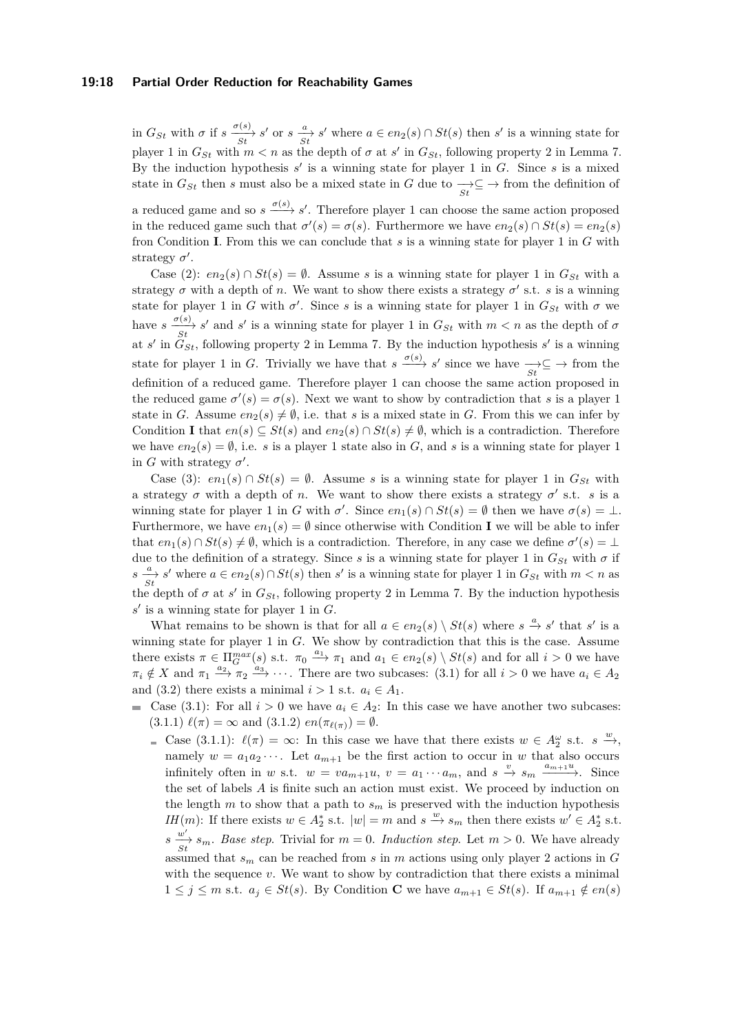### **19:18 Partial Order Reduction for Reachability Games**

in  $G_{St}$  with  $\sigma$  if  $s \frac{\sigma(s)}{St} s'$  or  $s \frac{a}{St} s'$  where  $a \in en_2(s) \cap St(s)$  then s' is a winning state for player 1 in  $G_{St}$  with  $m < n$  as the depth of  $\sigma$  at  $s'$  in  $G_{St}$ , following property [2](#page-3-4) in Lemma [7.](#page-3-2) By the induction hypothesis  $s'$  is a winning state for player 1 in  $G$ . Since  $s$  is a mixed state in  $G_{St}$  then *s* must also be a mixed state in  $G$  due to  $\frac{1}{St} \subseteq \rightarrow$  from the definition of

a reduced game and so  $s \xrightarrow{\sigma(s)} s'$ . Therefore player 1 can choose the same action proposed in the reduced game such that  $\sigma'(s) = \sigma(s)$ . Furthermore we have  $en_2(s) \cap St(s) = en_2(s)$ fron Condition **[I](#page-4-0)**. From this we can conclude that *s* is a winning state for player 1 in *G* with strategy  $\sigma'$ .

Case (2):  $en_2(s) \cap St(s) = \emptyset$ . Assume *s* is a winning state for player 1 in  $G_{St}$  with a strategy  $\sigma$  with a depth of *n*. We want to show there exists a strategy  $\sigma'$  s.t. *s* is a winning state for player 1 in *G* with  $\sigma'$ . Since *s* is a winning state for player 1 in  $G_{St}$  with  $\sigma$  we have  $s \frac{\sigma(s)}{St}$ , *s'* and *s'* is a winning state for player 1 in  $G_{St}$  with  $m < n$  as the depth of  $\sigma$ at  $s'$  in  $G_{St}$ , following property [2](#page-3-4) in Lemma [7.](#page-3-2) By the induction hypothesis  $s'$  is a winning state for player 1 in *G*. Trivially we have that  $s \xrightarrow{\sigma(s)} s'$  since we have  $\overrightarrow{St} \subseteq \rightarrow$  from the definition of a reduced game. Therefore player 1 can choose the same action proposed in the reduced game  $\sigma'(s) = \sigma(s)$ . Next we want to show by contradiction that *s* is a player 1 state in *G*. Assume  $en_2(s) \neq \emptyset$ , i.e. that *s* is a mixed state in *G*. From this we can infer by Condition **[I](#page-4-0)** that  $en(s) \subseteq St(s)$  and  $en_2(s) \cap St(s) \neq \emptyset$ , which is a contradiction. Therefore we have  $en_2(s) = \emptyset$ , i.e. *s* is a player 1 state also in *G*, and *s* is a winning state for player 1 in *G* with strategy  $\sigma'$ .

Case (3):  $en_1(s) \cap St(s) = \emptyset$ . Assume *s* is a winning state for player 1 in  $G_{St}$  with a strategy  $\sigma$  with a depth of *n*. We want to show there exists a strategy  $\sigma'$  s.t. *s* is a winning state for player 1 in *G* with  $\sigma'$ . Since  $en_1(s) \cap St(s) = \emptyset$  then we have  $\sigma(s) = \bot$ . Furthermore, we have  $en_1(s) = \emptyset$  since otherwise with Condition **[I](#page-4-0)** we will be able to infer that  $en_1(s) \cap St(s) \neq \emptyset$ , which is a contradiction. Therefore, in any case we define  $\sigma'(s) = \bot$ due to the definition of a strategy. Since *s* is a winning state for player 1 in  $G_{St}$  with  $\sigma$  if  $s \frac{a}{St}$  *s*' where  $a \in en_2(s) \cap St(s)$  then *s*' is a winning state for player 1 in  $G_{St}$  with  $m < n$  as the depth of  $\sigma$  at  $s'$  in  $G_{St}$ , following property [2](#page-3-4) in Lemma [7.](#page-3-2) By the induction hypothesis  $s'$  is a winning state for player 1 in  $G$ .

What remains to be shown is that for all  $a \in en_2(s) \setminus St(s)$  where  $s \stackrel{a}{\to} s'$  that  $s'$  is a winning state for player 1 in *G*. We show by contradiction that this is the case. Assume there exists  $\pi \in \Pi_{G}^{max}(s)$  s.t.  $\pi_0 \stackrel{a_1}{\longrightarrow} \pi_1$  and  $a_1 \in en_2(s) \setminus St(s)$  and for all  $i > 0$  we have  $\pi_i \notin X$  and  $\pi_1 \xrightarrow{a_2} \pi_2 \xrightarrow{a_3} \cdots$ . There are two subcases: (3.1) for all  $i > 0$  we have  $a_i \in A_2$ and (3.2) there exists a minimal  $i > 1$  s.t.  $a_i \in A_1$ .

- Case (3.1): For all  $i > 0$  we have  $a_i \in A_2$ : In this case we have another two subcases:  $(3.1.1) \ell(\pi) = \infty$  and  $(3.1.2) \text{ } en(\pi_{\ell(\pi)}) = \emptyset.$ 
	- Case (3.1.1):  $\ell(\pi) = \infty$ : In this case we have that there exists  $w \in A_2^{\omega}$  s.t.  $s \stackrel{w}{\to}$ , namely  $w = a_1 a_2 \cdots$ . Let  $a_{m+1}$  be the first action to occur in *w* that also occurs infinitely often in *w* s.t.  $w = va_{m+1}u$ ,  $v = a_1 \cdots a_m$ , and  $s \stackrel{v}{\rightarrow} s_m \stackrel{a_{m+1}u}{\longrightarrow}$ . Since the set of labels *A* is finite such an action must exist. We proceed by induction on the length  $m$  to show that a path to  $s_m$  is preserved with the induction hypothesis *IH*(*m*): If there exists  $w \in A_2^*$  s.t.  $|w| = m$  and  $s \stackrel{w}{\to} s_m$  then there exists  $w' \in A_2^*$  s.t.  $s \frac{w'}{St}$   $s_m$ . *Base step*. Trivial for  $m = 0$ . *Induction step*. Let  $m > 0$ . We have already assumed that  $s_m$  can be reached from  $s$  in  $m$  actions using only player 2 actions in  $G$ with the sequence *v*. We want to show by contradiction that there exists a minimal 1 ≤ *j* ≤ *m* s.t.  $a_j$  ∈ *St*(*s*). By [C](#page-4-0)ondition **C** we have  $a_{m+1}$  ∈ *St*(*s*). If  $a_{m+1}$  ∉  $en(s)$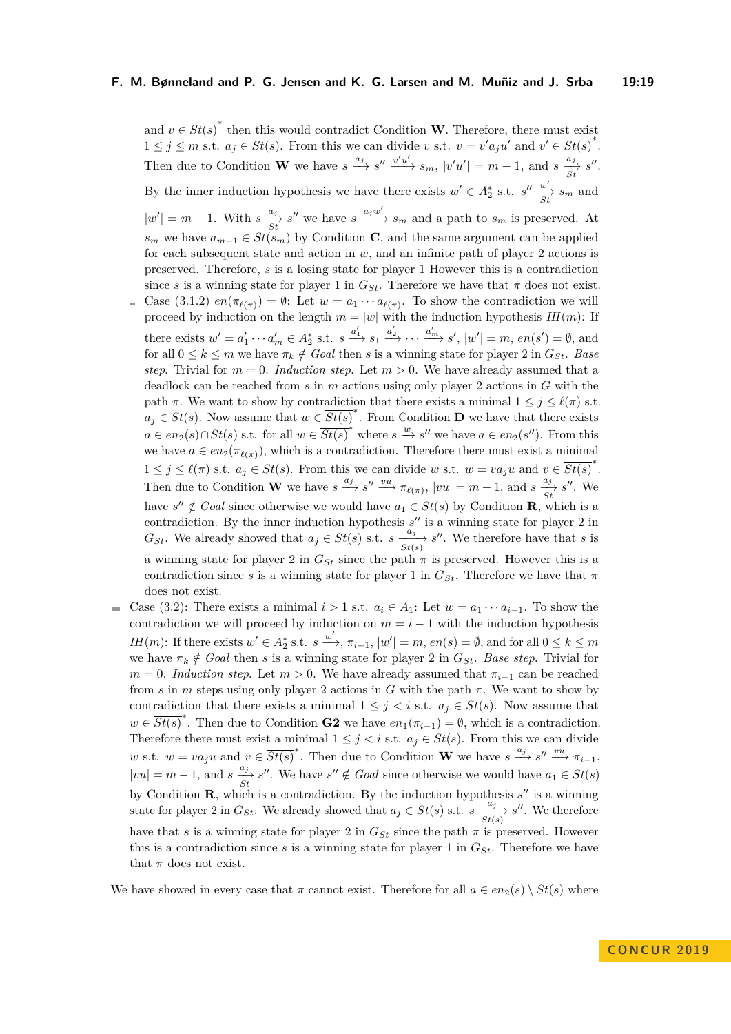and  $v \in \overline{St(s)}^*$  then this would contradict Condition **[W](#page-4-0)**. Therefore, there must exist  $1 \leq j \leq m$  s.t.  $a_j \in St(s)$ . From this we can divide *v* s.t.  $v = v'a_ju'$  and  $v' \in \overline{St(s)}^*$ . Then due to Condition **[W](#page-4-0)** we have  $s \xrightarrow{a_j} s'' \xrightarrow{v'u'} s_m$ ,  $|v'u'| = m - 1$ , and  $s \xrightarrow{a_j} s''$ . By the inner induction hypothesis we have there exists  $w' \in A_2^*$  s.t.  $s'' \frac{w'}{st} s_m$  and  $|w'| = m - 1$ . With  $s \frac{a_j}{St} s''$  we have  $s \xrightarrow{a_j w'} s_m$  and a path to  $s_m$  is preserved. At *s<sub>m</sub>* we have  $a_{m+1} \in St(s_m)$  by [C](#page-4-0)ondition **C**, and the same argument can be applied for each subsequent state and action in *w*, and an infinite path of player 2 actions is preserved. Therefore, *s* is a losing state for player 1 However this is a contradiction since *s* is a winning state for player 1 in  $G_{St}$ . Therefore we have that  $\pi$  does not exist. Case (3.1.2)  $en(\pi_{\ell(\pi)}) = \emptyset$ : Let  $w = a_1 \cdots a_{\ell(\pi)}$ . To show the contradiction we will proceed by induction on the length  $m = |w|$  with the induction hypothesis  $IH(m)$ : If there exists  $w' = a'_1 \cdots a'_m \in A_2^*$  s.t.  $s \xrightarrow{a'_1} s_1 \xrightarrow{a'_2} \cdots \xrightarrow{a'_m} s'$ ,  $|w'| = m$ ,  $en(s') = \emptyset$ , and for all  $0 \leq k \leq m$  we have  $\pi_k \notin \text{Goal}$  then *s* is a winning state for player 2 in  $G_{St}$ . Base *step.* Trivial for  $m = 0$ . *Induction step.* Let  $m > 0$ . We have already assumed that a deadlock can be reached from *s* in *m* actions using only player 2 actions in *G* with the path  $\pi$ . We want to show by contradiction that there exists a minimal  $1 \leq j \leq \ell(\pi)$  s.t.  $a_j \in St(s)$ . Now assume that  $w \in \overline{St(s)}^*$ . From Condition **[D](#page-4-0)** we have that there exists *a* ∈ *en*<sub>2</sub>(*s*)∩*St*(*s*) s.t. for all  $w \in \overline{St(s)}^*$  where  $s \stackrel{w}{\to} s''$  we have  $a \in en_2(s'')$ . From this we have  $a \in en_2(\pi_{\ell(\pi)})$ , which is a contradiction. Therefore there must exist a minimal  $1 \leq j \leq \ell(\pi) \text{ s.t. } a_j \in St(s)$ . From this we can divide *w* s.t.  $w = va_ju$  and  $v \in \overline{St(s)}^*$ . Then due to Condition **[W](#page-4-0)** we have  $s \xrightarrow{a_j} s'' \xrightarrow{vu} \pi_{\ell(\pi)}$ ,  $|vu| = m - 1$ , and  $s \xrightarrow{a_j} s''$ . We have  $s'' \notin Goal$  since otherwise we would have  $a_1 \in St(s)$  by Condition **[R](#page-4-0)**, which is a contradiction. By the inner induction hypothesis  $s''$  is a winning state for player 2 in *G<sub>St</sub>*. We already showed that  $a_j \in St(s)$  s.t.  $s \xrightarrow[s]{a_j} s''$ . We therefore have that *s* is a winning state for player 2 in  $G_{St}$  since the path  $\pi$  is preserved. However this is a contradiction since *s* is a winning state for player 1 in  $G_{St}$ . Therefore we have that  $\pi$ does not exist.

Case (3.2): There exists a minimal  $i > 1$  s.t.  $a_i \in A_1$ : Let  $w = a_1 \cdots a_{i-1}$ . To show the  $\rightarrow$ contradiction we will proceed by induction on  $m = i - 1$  with the induction hypothesis *IH*(*m*): If there exists  $w' \in A_2^*$  s.t.  $s \xrightarrow{w'}$ ,  $\pi_{i-1}$ ,  $|w'| = m$ ,  $en(s) = \emptyset$ , and for all  $0 \le k \le m$ we have  $\pi_k \notin$  *Goal* then *s* is a winning state for player 2 in  $G_{St}$ . Base step. Trivial for  $m = 0$ . *Induction step*. Let  $m > 0$ . We have already assumed that  $\pi_{i-1}$  can be reached from *s* in *m* steps using only player 2 actions in *G* with the path  $\pi$ . We want to show by contradiction that there exists a minimal  $1 \leq j \leq i$  s.t.  $a_j \in St(s)$ . Now assume that  $w \in \overline{St(s)}^*$ . Then due to Condition **[G2](#page-4-0)** we have  $en_1(\pi_{i-1}) = \emptyset$ , which is a contradiction. Therefore there must exist a minimal  $1 \leq j \leq i$  s.t.  $a_j \in St(s)$ . From this we can divide *w* s.t.  $w = va_ju$  and  $v \in \overline{St(s)}^*$ . Then due to Condition **[W](#page-4-0)** we have  $s \xrightarrow{a_j} s'' \xrightarrow{vu} \pi_{i-1}$ ,  $|vu| = m - 1$ , and  $s \frac{a_j}{St} s''$ . We have  $s'' \notin Goal$  since otherwise we would have  $a_1 \in St(s)$ by Condition  $\mathbf{R}$  $\mathbf{R}$  $\mathbf{R}$ , which is a contradiction. By the induction hypothesis  $s''$  is a winning state for player 2 in  $G_{St}$ . We already showed that  $a_j \in St(s)$  s.t.  $s \frac{a_j}{St(s)} s''$ . We therefore have that *s* is a winning state for player 2 in  $G_{St}$  since the path  $\pi$  is preserved. However this is a contradiction since  $s$  is a winning state for player 1 in  $G_{St}$ . Therefore we have that  $\pi$  does not exist.

We have showed in every case that  $\pi$  cannot exist. Therefore for all  $a \in en_2(s) \setminus St(s)$  where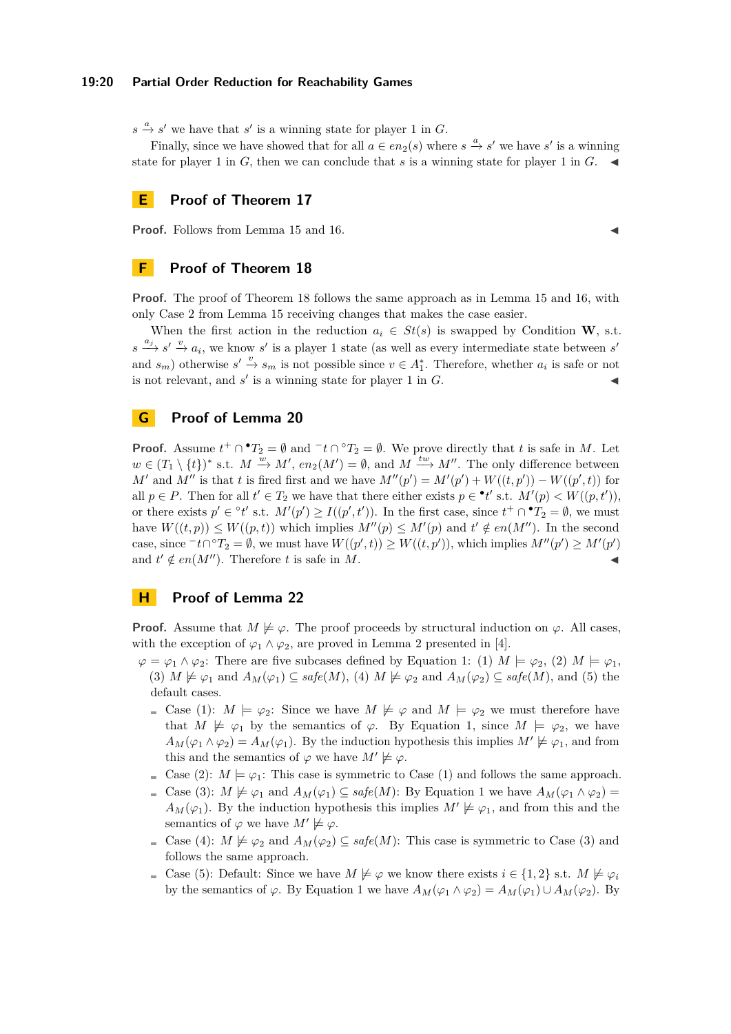### **19:20 Partial Order Reduction for Reachability Games**

 $s \stackrel{a}{\rightarrow} s'$  we have that *s*' is a winning state for player 1 in *G*.

Finally, since we have showed that for all  $a \in en_2(s)$  where  $s \stackrel{a}{\to} s'$  we have  $s'$  is a winning state for player 1 in  $G$ , then we can conclude that  $s$  is a winning state for player 1 in  $G$ .

## **E Proof of Theorem [17](#page-5-4)**

**Proof.** Follows from Lemma [15](#page-5-2) and [16.](#page-5-3)

# **F Proof of Theorem [18](#page-6-0)**

**Proof.** The proof of Theorem [18](#page-6-0) follows the same approach as in Lemma [15](#page-5-2) and [16,](#page-5-3) with only Case 2 from Lemma [15](#page-5-2) receiving changes that makes the case easier.

[W](#page-4-0)hen the first action in the reduction  $a_i \in St(s)$  is swapped by Condition **W**, s.t.  $s \stackrel{a_j}{\longrightarrow} s' \stackrel{v}{\longrightarrow} a_i$ , we know *s*' is a player 1 state (as well as every intermediate state between *s'* and  $s_m$ ) otherwise  $s' \stackrel{v}{\to} s_m$  is not possible since  $v \in A_1^*$ . Therefore, whether  $a_i$  is safe or not is not relevant, and  $s'$  is a winning state for player 1 in  $G$ .

# **G Proof of Lemma [20](#page-6-1)**

**Proof.** Assume  $t^+ \cap {}^{\bullet}T_2 = \emptyset$  and  ${}^{\circ}t \cap {}^{\circ}T_2 = \emptyset$ . We prove directly that *t* is safe in *M*. Let  $w \in (T_1 \setminus \{t\})^*$  s.t.  $M \stackrel{w}{\to} M'$ ,  $en_2(M') = \emptyset$ , and  $M \stackrel{tw}{\to} M''$ . The only difference between *M*<sup> $\prime$ </sup> and *M*<sup> $\prime$ </sup> is that *t* is fired first and we have  $M''(p') = M'(p') + W((t, p')) - W((p', t))$  for all  $p \in P$ . Then for all  $t' \in T_2$  we have that there either exists  $p \in \lceil t' \text{ s.t. } M'(p) < W((p, t'))$ , or there exists  $p' \in {}^{\circ}t'$  s.t.  $M'(p') \ge I((p', t'))$ . In the first case, since  $t^+ \cap {}^{\bullet}T_2 = \emptyset$ , we must have  $W((t, p)) \le W((p, t))$  which implies  $M''(p) \le M'(p)$  and  $t' \notin en(M'')$ . In the second *case, since*  $\tau t \cap {}^{\circ}T_2 = ∅$ , we must have  $W((p', t)) \ge W((t, p'))$ , which implies  $M''(p') \ge M'(p')$ and  $t' \notin en(M'')$ . Therefore *t* is safe in *M*.

### **H Proof of Lemma [22](#page-8-1)**

**Proof.** Assume that  $M \not\models \varphi$ . The proof proceeds by structural induction on  $\varphi$ . All cases, with the exception of  $\varphi_1 \wedge \varphi_2$ , are proved in Lemma 2 presented in [\[4\]](#page-13-7).

- $\varphi = \varphi_1 \wedge \varphi_2$ : There are five subcases defined by Equation [1:](#page-7-1) (1)  $M \models \varphi_2$ , (2)  $M \models \varphi_1$ , (3)  $M \not\models \varphi_1$  and  $A_M(\varphi_1) \subseteq \mathit{safe}(M)$ , (4)  $M \not\models \varphi_2$  and  $A_M(\varphi_2) \subseteq \mathit{safe}(M)$ , and (5) the default cases.
	- Case (1):  $M \models \varphi_2$ : Since we have  $M \not\models \varphi$  and  $M \models \varphi_2$  we must therefore have that  $M \not\models \varphi_1$  by the semantics of  $\varphi$ . By Equation [1,](#page-7-1) since  $M \models \varphi_2$ , we have  $A_M(\varphi_1 \wedge \varphi_2) = A_M(\varphi_1)$ . By the induction hypothesis this implies  $M' \not\models \varphi_1$ , and from this and the semantics of  $\varphi$  we have  $M' \not\models \varphi$ .
	- Case (2):  $M \models \varphi_1$ : This case is symmetric to Case (1) and follows the same approach.
	- $\subseteq$  Case (3): *M*  $\nvdash$  *ϕ*<sub>1</sub> and *A<sub>M</sub>*(*ϕ*<sub>1</sub>) ⊆ *safe*(*M*): By Equation [1](#page-7-1) we have  $A_M(\varphi_1 \wedge \varphi_2)$  =  $A_M(\varphi_1)$ . By the induction hypothesis this implies  $M' \not\models \varphi_1$ , and from this and the semantics of  $\varphi$  we have  $M' \not\models \varphi$ .
	- Case (4):  $M \not\models \varphi_2$  and  $A_M(\varphi_2) \subseteq \text{safe}(M)$ : This case is symmetric to Case (3) and follows the same approach.
	- **■** Case (5): Default: Since we have  $M \not\models \varphi$  we know there exists  $i \in \{1,2\}$  s.t.  $M \not\models \varphi_i$ by the semantics of  $\varphi$ . By Equation [1](#page-7-1) we have  $A_M(\varphi_1 \wedge \varphi_2) = A_M(\varphi_1) \cup A_M(\varphi_2)$ . By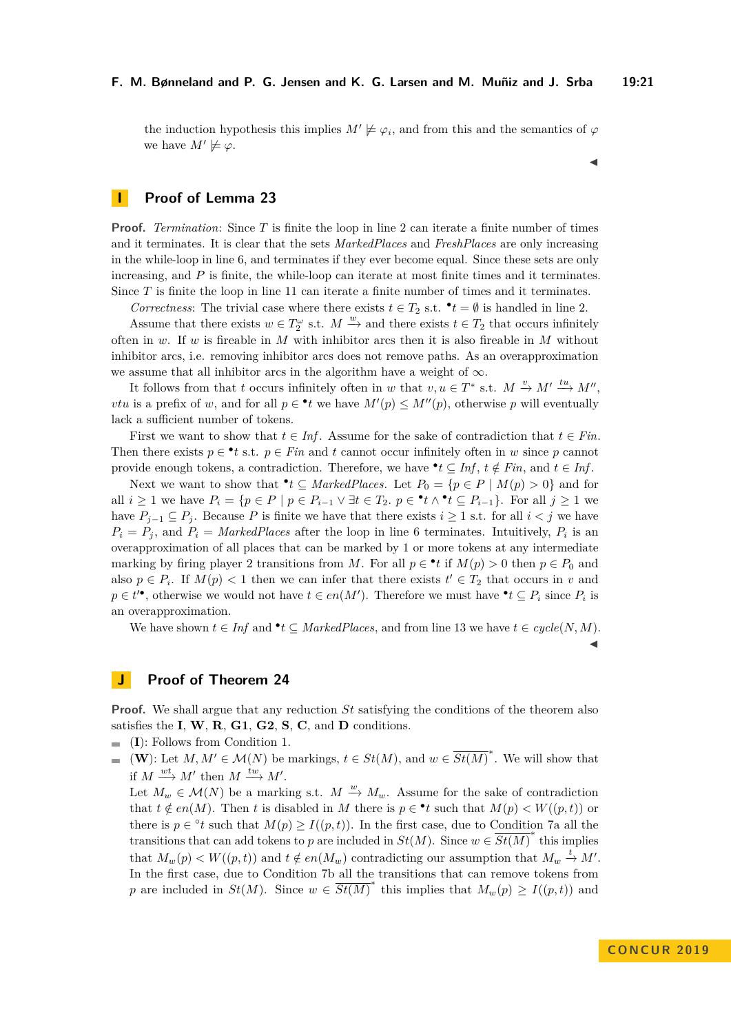the induction hypothesis this implies  $M' \not\models \varphi_i$ , and from this and the semantics of  $\varphi$ we have  $M' \not\models \varphi$ .

 $\blacktriangleleft$ 

 $\blacktriangleleft$ 

# **I Proof of Lemma [23](#page-8-2)**

**Proof.** *Termination*: Since *T* is finite the loop in line [2](#page-9-3) can iterate a finite number of times and it terminates. It is clear that the sets *MarkedPlaces* and *FreshPlaces* are only increasing in the while-loop in line [6,](#page-9-4) and terminates if they ever become equal. Since these sets are only increasing, and *P* is finite, the while-loop can iterate at most finite times and it terminates. Since *T* is finite the loop in line [11](#page-9-5) can iterate a finite number of times and it terminates.

*Correctness*: The trivial case where there exists  $t \in T_2$  s.t.  $\bullet t = \emptyset$  is handled in line [2.](#page-9-3)

Assume that there exists  $w \in T_2^{\omega}$  s.t.  $M \stackrel{w}{\to}$  and there exists  $t \in T_2$  that occurs infinitely often in *w*. If *w* is fireable in *M* with inhibitor arcs then it is also fireable in *M* without inhibitor arcs, i.e. removing inhibitor arcs does not remove paths. As an overapproximation we assume that all inhibitor arcs in the algorithm have a weight of  $\infty$ .

It follows from that *t* occurs infinitely often in *w* that  $v, u \in T^*$  s.t.  $M \stackrel{v}{\to} M' \stackrel{tu}{\to} M''$ , *vtu* is a prefix of *w*, and for all  $p \in \text{I}$  we have  $M'(p) \leq M''(p)$ , otherwise *p* will eventually lack a sufficient number of tokens.

First we want to show that  $t \in Inf$ . Assume for the sake of contradiction that  $t \in Fin$ . Then there exists  $p \in \text{I}$  *t* s.t.  $p \in \text{Fin}$  and *t* cannot occur infinitely often in *w* since *p* cannot provide enough tokens, a contradiction. Therefore, we have  $\bullet$  *t*  $\subseteq$  *Inf*, *t*  $\notin$  *Fin*, and *t*  $\in$  *Inf*.

Next we want to show that  $\bullet t \subseteq \text{MarkedPlaces.}$  Let  $P_0 = \{p \in P \mid M(p) > 0\}$  and for all  $i \geq 1$  we have  $P_i = \{p \in P \mid p \in P_{i-1} \lor \exists t \in T_2, p \in \mathbf{P}_t \land \mathbf{P}_t \subseteq P_{i-1}\}.$  For all  $j \geq 1$  we have  $P_{j-1} \subseteq P_j$ . Because P is finite we have that there exists  $i \geq 1$  s.t. for all  $i < j$  we have  $P_i = P_j$ , and  $P_i = \text{MarkedPlaces}$  after the loop in line [6](#page-9-4) terminates. Intuitively,  $P_i$  is an overapproximation of all places that can be marked by 1 or more tokens at any intermediate marking by firing player 2 transitions from *M*. For all  $p \in \cdot t$  if  $M(p) > 0$  then  $p \in P_0$  and also  $p \in P_i$ . If  $M(p) < 1$  then we can infer that there exists  $t' \in T_2$  that occurs in *v* and  $p \in t'^{\bullet}$ , otherwise we would not have  $t \in en(M')$ . Therefore we must have  $\mathbf{P}_t \subseteq P_i$  since  $P_i$  is an overapproximation.

We have shown  $t \in \text{Inf}$  and  $\text{•}t \subseteq \text{MarketPlaces}$ , and from line [13](#page-9-6) we have  $t \in \text{cycle}(N, M)$ .

### **J Proof of Theorem [24](#page-8-3)**

**Proof.** We shall argue that any reduction *St* satisfying the conditions of the theorem also satisfies the **[I](#page-4-0)**, **[W](#page-4-0)**, **[R](#page-4-0)**, **[G1](#page-4-0)**, **[G2](#page-4-0)**, **[S](#page-4-0)**, **[C](#page-4-0)**, and **[D](#page-4-0)** conditions.

- (**[I](#page-4-0)**): Follows from Condition [1.](#page-8-4)
- $(\mathbf{W})$  $(\mathbf{W})$  $(\mathbf{W})$ : Let  $M, M' \in \mathcal{M}(N)$  be markings,  $t \in St(M)$ , and  $w \in \overline{St(M)}^*$ . We will show that  $\overline{\phantom{a}}$ if  $M \xrightarrow{wt} M'$  then  $M \xrightarrow{tw} M'$ .

Let  $M_w \in \mathcal{M}(N)$  be a marking s.t.  $M \stackrel{w}{\to} M_w$ . Assume for the sake of contradiction that  $t \notin en(M)$ . Then *t* is disabled in *M* there is  $p \in \text{I}$  such that  $M(p) < W((p, t))$  or there is  $p \in {}^{\circ}t$  such that  $M(p) \geq I((p, t))$ . In the first case, due to Condition [7a](#page-9-7) all the transitions that can add tokens to *p* are included in  $St(M)$ . Since  $w \in \overline{St(M)}^*$  this implies that  $M_w(p) < W((p, t))$  and  $t \notin en(M_w)$  contradicting our assumption that  $M_w \stackrel{t}{\rightarrow} M'$ . In the first case, due to Condition [7b](#page-9-8) all the transitions that can remove tokens from *p* are included in *St*(*M*). Since  $w \in \overline{St(M)}^*$  this implies that  $M_w(p) \ge I((p, t))$  and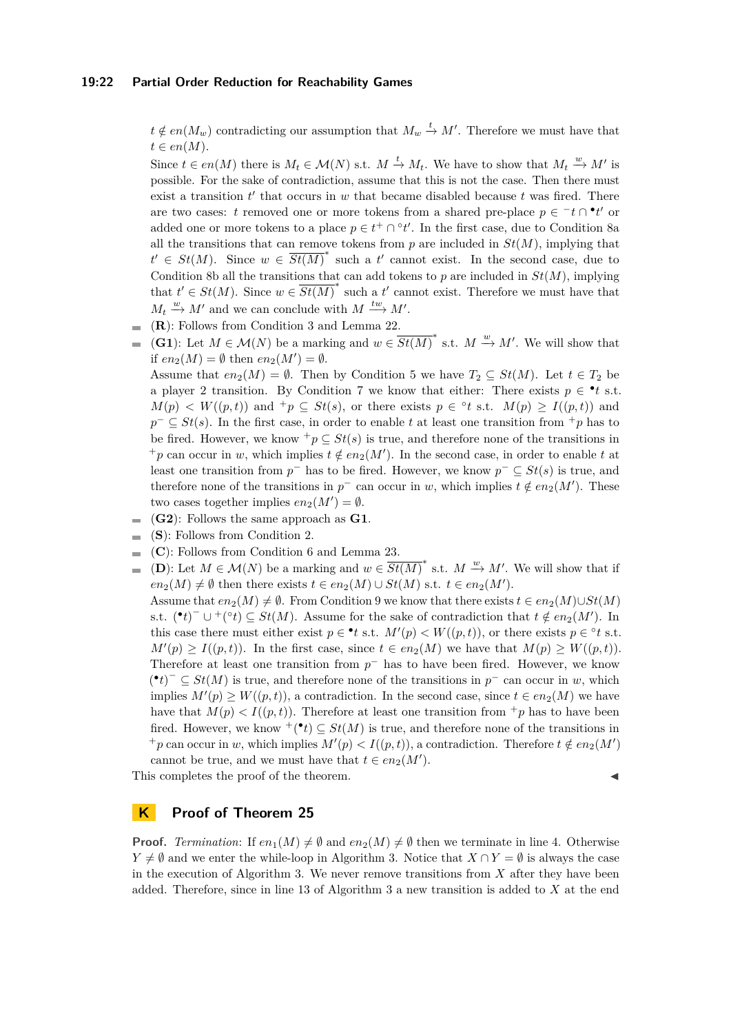### **19:22 Partial Order Reduction for Reachability Games**

 $t \notin en(M_w)$  contradicting our assumption that  $M_w \stackrel{t}{\rightarrow} M'$ . Therefore we must have that  $t \in en(M)$ .

Since  $t \in en(M)$  there is  $M_t \in \mathcal{M}(N)$  s.t.  $M \stackrel{t}{\to} M_t$ . We have to show that  $M_t \stackrel{w}{\to} M'$  is possible. For the sake of contradiction, assume that this is not the case. Then there must exist a transition  $t'$  that occurs in  $w$  that became disabled because  $t$  was fired. There are two cases: *t* removed one or more tokens from a shared pre-place  $p \in \pi$  or  $\bullet t'$  or added one or more tokens to a place  $p \in t^+ \cap {}^{\circ}t'$ . In the first case, due to Condition [8a](#page-9-9) all the transitions that can remove tokens from  $p$  are included in  $St(M)$ , implying that  $t' \in St(M)$ . Since  $w \in \overline{St(M)}^*$  such a *t*' cannot exist. In the second case, due to Condition [8b](#page-9-10) all the transitions that can add tokens to *p* are included in  $St(M)$ , implying that  $t' \in St(M)$ . Since  $w \in \overline{St(M)}^*$  such a  $t'$  cannot exist. Therefore we must have that  $M_t \stackrel{w}{\rightarrow} M'$  and we can conclude with  $M \stackrel{tw}{\rightarrow} M'$ .

- (**[R](#page-4-0)**): Follows from Condition [3](#page-9-11) and Lemma [22.](#page-8-1)
- (**[G1](#page-4-0)**): Let  $M \in \mathcal{M}(N)$  be a marking and  $w \in \overline{St(M)}^*$  s.t.  $M \stackrel{w}{\to} M'$ . We will show that if  $en_2(M) = \emptyset$  then  $en_2(M') = \emptyset$ .

Assume that  $en_2(M) = \emptyset$ . Then by Condition [5](#page-9-12) we have  $T_2 \subseteq St(M)$ . Let  $t \in T_2$  be a player 2 transition. By Condition [7](#page-9-1) we know that either: There exists  $p \in \cdot t$  s.t.  $M(p) \le W((p, t))$  and  $^+p \subseteq St(s)$ , or there exists  $p \in ^\circ t$  s.t.  $M(p) \ge I((p, t))$  and  $p^{-} \subseteq St(s)$ . In the first case, in order to enable *t* at least one transition from <sup>+</sup>*p* has to be fired. However, we know  $^+p \subseteq St(s)$  is true, and therefore none of the transitions in  $+p$  can occur in *w*, which implies  $t \notin en_2(M')$ . In the second case, in order to enable *t* at least one transition from  $p^-$  has to be fired. However, we know  $p^- \subseteq St(s)$  is true, and therefore none of the transitions in  $p^-$  can occur in *w*, which implies  $t \notin en_2(M')$ . These two cases together implies  $en_2(M') = \emptyset$ .

- (**[G2](#page-4-0)**): Follows the same approach as **[G1](#page-4-0)**.
- (**[S](#page-4-0)**): Follows from Condition [2.](#page-8-5)
- (**[C](#page-4-0)**): Follows from Condition [6](#page-9-13) and Lemma [23.](#page-8-2)  $\blacksquare$
- (**[D](#page-4-0)**): Let  $M \in \mathcal{M}(N)$  be a marking and  $w \in \overline{St(M)}^*$  s.t.  $M \xrightarrow{w} M'$ . We will show that if  $\blacksquare$  $en_2(M) \neq \emptyset$  then there exists  $t \in en_2(M) \cup St(M)$  s.t.  $t \in en_2(M')$ .

Assume that  $en_2(M) \neq \emptyset$ . From Condition [9](#page-9-14) we know that there exists  $t \in en_2(M) \cup St(M)$ s.t.  $(\cdot t)^{-} \cup^{+}(\cdot t) \subseteq St(M)$ . Assume for the sake of contradiction that  $t \notin en_2(M')$ . In this case there must either exist  $p \in \text{•}t$  s.t.  $M'(p) < W((p, t))$ , or there exists  $p \in \text{°}t$  s.t.  $M'(p) \geq I((p, t)).$  In the first case, since  $t \in en_2(M)$  we have that  $M(p) \geq W((p, t)).$ Therefore at least one transition from  $p^-$  has to have been fired. However, we know (<sup>•</sup>*t*)<sup> $−$ </sup> ⊆ *St*(*M*) is true, and therefore none of the transitions in *p*<sup> $−$ </sup> can occur in *w*, which implies  $M'(p) \ge W((p, t))$ , a contradiction. In the second case, since  $t \in en_2(M)$  we have have that  $M(p) < I((p, t))$ . Therefore at least one transition from  $\pm p$  has to have been fired. However, we know  $^{+}$ ( $^{\bullet}$ *t*)  $\subseteq$  *St*(*M*) is true, and therefore none of the transitions in  $^+p$  can occur in *w*, which implies  $M'(p) < I((p, t))$ , a contradiction. Therefore  $t \notin en_2(M')$ cannot be true, and we must have that  $t \in en_2(M')$ .

This completes the proof of the theorem.

# **K Proof of Theorem [25](#page-9-15)**

**Proof.** *Termination*: If  $en_1(M) \neq \emptyset$  and  $en_2(M) \neq \emptyset$  then we terminate in line [4.](#page-10-1) Otherwise *Y* ≠  $\emptyset$  and we enter the while-loop in Algorithm [3.](#page-11-0) Notice that *X* ∩ *Y* =  $\emptyset$  is always the case in the execution of Algorithm [3.](#page-11-0) We never remove transitions from *X* after they have been added. Therefore, since in line [13](#page-11-1) of Algorithm [3](#page-11-0) a new transition is added to *X* at the end